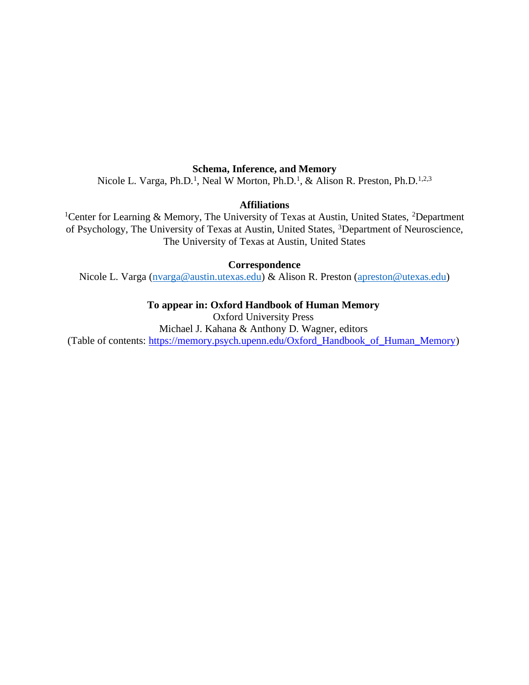## **Schema, Inference, and Memory**

Nicole L. Varga, Ph.D.<sup>1</sup>, Neal W Morton, Ph.D.<sup>1</sup>, & Alison R. Preston, Ph.D.<sup>1,2,3</sup>

# **Affiliations**

<sup>1</sup>Center for Learning & Memory, The University of Texas at Austin, United States, <sup>2</sup>Department of Psychology, The University of Texas at Austin, United States, <sup>3</sup>Department of Neuroscience, The University of Texas at Austin, United States

## **Correspondence**

Nicole L. Varga (nvarga@austin.utexas.edu) & Alison R. Preston (apreston@utexas.edu)

## **To appear in: Oxford Handbook of Human Memory**

Oxford University Press Michael J. Kahana & Anthony D. Wagner, editors (Table of contents: [https://memory.psych.upenn.edu/Oxford\\_Handbook\\_of\\_Human\\_Memory\)](https://memory.psych.upenn.edu/Oxford_Handbook_of_Human_Memory)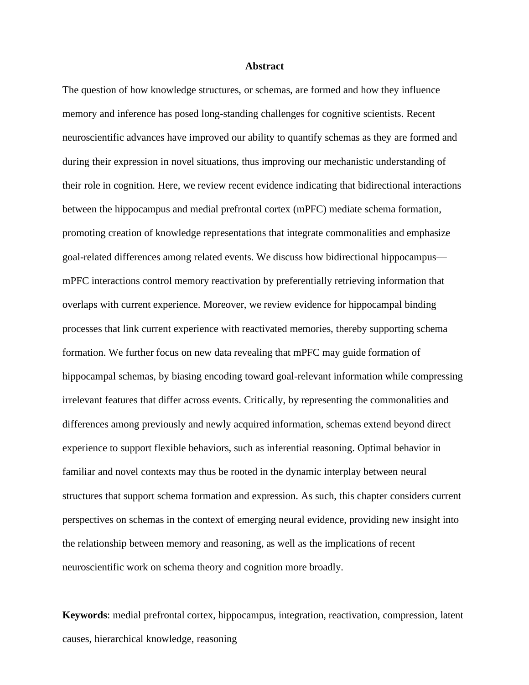## **Abstract**

The question of how knowledge structures, or schemas, are formed and how they influence memory and inference has posed long-standing challenges for cognitive scientists. Recent neuroscientific advances have improved our ability to quantify schemas as they are formed and during their expression in novel situations, thus improving our mechanistic understanding of their role in cognition. Here, we review recent evidence indicating that bidirectional interactions between the hippocampus and medial prefrontal cortex (mPFC) mediate schema formation, promoting creation of knowledge representations that integrate commonalities and emphasize goal-related differences among related events. We discuss how bidirectional hippocampus mPFC interactions control memory reactivation by preferentially retrieving information that overlaps with current experience. Moreover, we review evidence for hippocampal binding processes that link current experience with reactivated memories, thereby supporting schema formation. We further focus on new data revealing that mPFC may guide formation of hippocampal schemas, by biasing encoding toward goal-relevant information while compressing irrelevant features that differ across events. Critically, by representing the commonalities and differences among previously and newly acquired information, schemas extend beyond direct experience to support flexible behaviors, such as inferential reasoning. Optimal behavior in familiar and novel contexts may thus be rooted in the dynamic interplay between neural structures that support schema formation and expression. As such, this chapter considers current perspectives on schemas in the context of emerging neural evidence, providing new insight into the relationship between memory and reasoning, as well as the implications of recent neuroscientific work on schema theory and cognition more broadly.

**Keywords**: medial prefrontal cortex, hippocampus, integration, reactivation, compression, latent causes, hierarchical knowledge, reasoning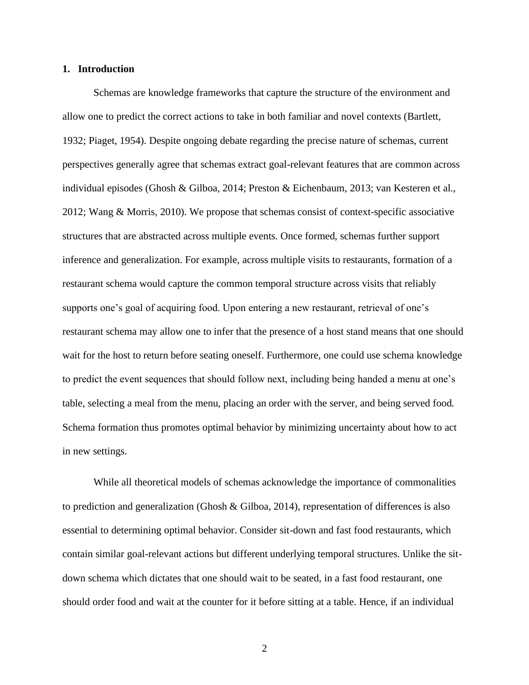## **1. Introduction**

Schemas are knowledge frameworks that capture the structure of the environment and allow one to predict the correct actions to take in both familiar and novel contexts (Bartlett, 1932; Piaget, 1954). Despite ongoing debate regarding the precise nature of schemas, current perspectives generally agree that schemas extract goal-relevant features that are common across individual episodes (Ghosh & Gilboa, 2014; Preston & Eichenbaum, 2013; van Kesteren et al., 2012; Wang & Morris, 2010). We propose that schemas consist of context-specific associative structures that are abstracted across multiple events. Once formed, schemas further support inference and generalization. For example, across multiple visits to restaurants, formation of a restaurant schema would capture the common temporal structure across visits that reliably supports one's goal of acquiring food. Upon entering a new restaurant, retrieval of one's restaurant schema may allow one to infer that the presence of a host stand means that one should wait for the host to return before seating oneself. Furthermore, one could use schema knowledge to predict the event sequences that should follow next, including being handed a menu at one's table, selecting a meal from the menu, placing an order with the server, and being served food. Schema formation thus promotes optimal behavior by minimizing uncertainty about how to act in new settings.

While all theoretical models of schemas acknowledge the importance of commonalities to prediction and generalization (Ghosh & Gilboa, 2014), representation of differences is also essential to determining optimal behavior. Consider sit-down and fast food restaurants, which contain similar goal-relevant actions but different underlying temporal structures. Unlike the sitdown schema which dictates that one should wait to be seated, in a fast food restaurant, one should order food and wait at the counter for it before sitting at a table. Hence, if an individual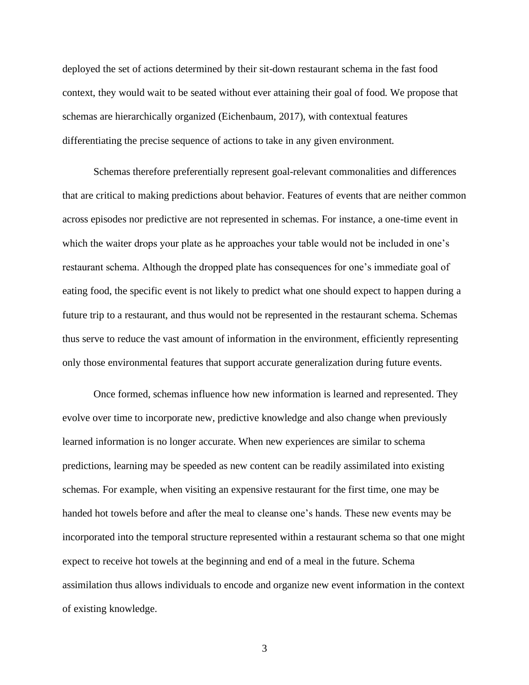deployed the set of actions determined by their sit-down restaurant schema in the fast food context, they would wait to be seated without ever attaining their goal of food. We propose that schemas are hierarchically organized (Eichenbaum, 2017), with contextual features differentiating the precise sequence of actions to take in any given environment.

Schemas therefore preferentially represent goal-relevant commonalities and differences that are critical to making predictions about behavior. Features of events that are neither common across episodes nor predictive are not represented in schemas. For instance, a one-time event in which the waiter drops your plate as he approaches your table would not be included in one's restaurant schema. Although the dropped plate has consequences for one's immediate goal of eating food, the specific event is not likely to predict what one should expect to happen during a future trip to a restaurant, and thus would not be represented in the restaurant schema. Schemas thus serve to reduce the vast amount of information in the environment, efficiently representing only those environmental features that support accurate generalization during future events.

Once formed, schemas influence how new information is learned and represented. They evolve over time to incorporate new, predictive knowledge and also change when previously learned information is no longer accurate. When new experiences are similar to schema predictions, learning may be speeded as new content can be readily assimilated into existing schemas. For example, when visiting an expensive restaurant for the first time, one may be handed hot towels before and after the meal to cleanse one's hands. These new events may be incorporated into the temporal structure represented within a restaurant schema so that one might expect to receive hot towels at the beginning and end of a meal in the future. Schema assimilation thus allows individuals to encode and organize new event information in the context of existing knowledge.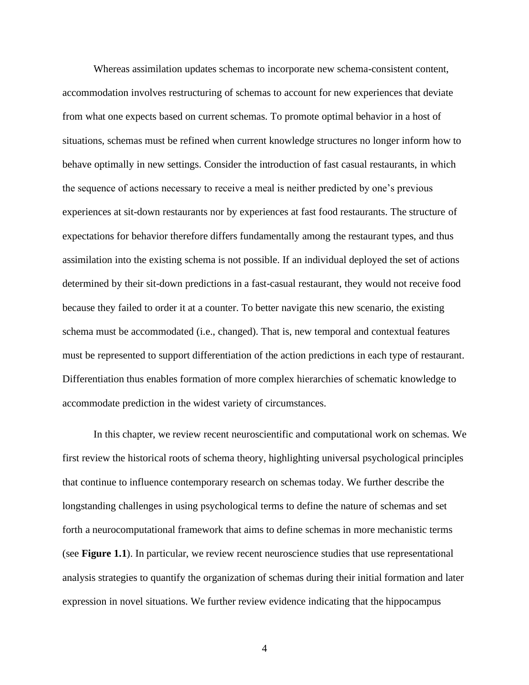Whereas assimilation updates schemas to incorporate new schema-consistent content, accommodation involves restructuring of schemas to account for new experiences that deviate from what one expects based on current schemas. To promote optimal behavior in a host of situations, schemas must be refined when current knowledge structures no longer inform how to behave optimally in new settings. Consider the introduction of fast casual restaurants, in which the sequence of actions necessary to receive a meal is neither predicted by one's previous experiences at sit-down restaurants nor by experiences at fast food restaurants. The structure of expectations for behavior therefore differs fundamentally among the restaurant types, and thus assimilation into the existing schema is not possible. If an individual deployed the set of actions determined by their sit-down predictions in a fast-casual restaurant, they would not receive food because they failed to order it at a counter. To better navigate this new scenario, the existing schema must be accommodated (i.e., changed). That is, new temporal and contextual features must be represented to support differentiation of the action predictions in each type of restaurant. Differentiation thus enables formation of more complex hierarchies of schematic knowledge to accommodate prediction in the widest variety of circumstances.

In this chapter, we review recent neuroscientific and computational work on schemas. We first review the historical roots of schema theory, highlighting universal psychological principles that continue to influence contemporary research on schemas today. We further describe the longstanding challenges in using psychological terms to define the nature of schemas and set forth a neurocomputational framework that aims to define schemas in more mechanistic terms (see **Figure 1.1**). In particular, we review recent neuroscience studies that use representational analysis strategies to quantify the organization of schemas during their initial formation and later expression in novel situations. We further review evidence indicating that the hippocampus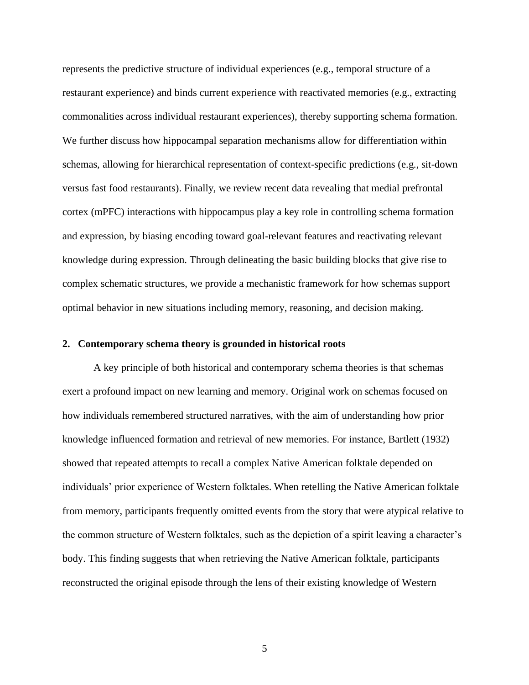represents the predictive structure of individual experiences (e.g., temporal structure of a restaurant experience) and binds current experience with reactivated memories (e.g., extracting commonalities across individual restaurant experiences), thereby supporting schema formation. We further discuss how hippocampal separation mechanisms allow for differentiation within schemas, allowing for hierarchical representation of context-specific predictions (e.g., sit-down versus fast food restaurants). Finally, we review recent data revealing that medial prefrontal cortex (mPFC) interactions with hippocampus play a key role in controlling schema formation and expression, by biasing encoding toward goal-relevant features and reactivating relevant knowledge during expression. Through delineating the basic building blocks that give rise to complex schematic structures, we provide a mechanistic framework for how schemas support optimal behavior in new situations including memory, reasoning, and decision making.

## **2. Contemporary schema theory is grounded in historical roots**

A key principle of both historical and contemporary schema theories is that schemas exert a profound impact on new learning and memory. Original work on schemas focused on how individuals remembered structured narratives, with the aim of understanding how prior knowledge influenced formation and retrieval of new memories. For instance, Bartlett (1932) showed that repeated attempts to recall a complex Native American folktale depended on individuals' prior experience of Western folktales. When retelling the Native American folktale from memory, participants frequently omitted events from the story that were atypical relative to the common structure of Western folktales, such as the depiction of a spirit leaving a character's body. This finding suggests that when retrieving the Native American folktale, participants reconstructed the original episode through the lens of their existing knowledge of Western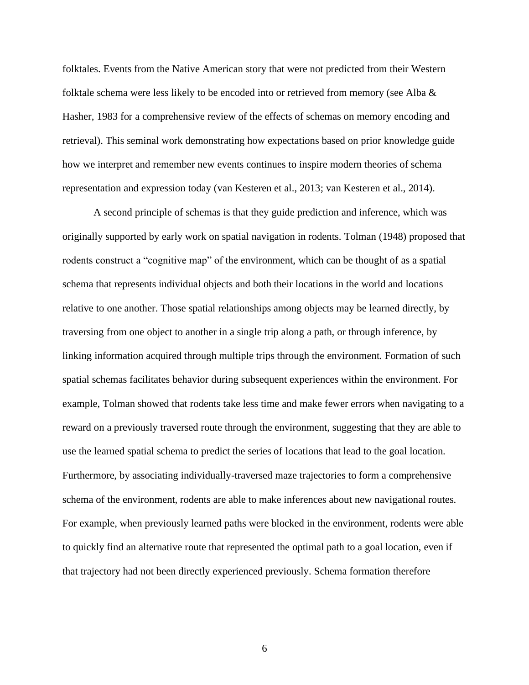folktales. Events from the Native American story that were not predicted from their Western folktale schema were less likely to be encoded into or retrieved from memory (see Alba & Hasher, 1983 for a comprehensive review of the effects of schemas on memory encoding and retrieval). This seminal work demonstrating how expectations based on prior knowledge guide how we interpret and remember new events continues to inspire modern theories of schema representation and expression today (van Kesteren et al., 2013; van Kesteren et al., 2014).

A second principle of schemas is that they guide prediction and inference, which was originally supported by early work on spatial navigation in rodents. Tolman (1948) proposed that rodents construct a "cognitive map" of the environment, which can be thought of as a spatial schema that represents individual objects and both their locations in the world and locations relative to one another. Those spatial relationships among objects may be learned directly, by traversing from one object to another in a single trip along a path, or through inference, by linking information acquired through multiple trips through the environment. Formation of such spatial schemas facilitates behavior during subsequent experiences within the environment. For example, Tolman showed that rodents take less time and make fewer errors when navigating to a reward on a previously traversed route through the environment, suggesting that they are able to use the learned spatial schema to predict the series of locations that lead to the goal location. Furthermore, by associating individually-traversed maze trajectories to form a comprehensive schema of the environment, rodents are able to make inferences about new navigational routes. For example, when previously learned paths were blocked in the environment, rodents were able to quickly find an alternative route that represented the optimal path to a goal location, even if that trajectory had not been directly experienced previously. Schema formation therefore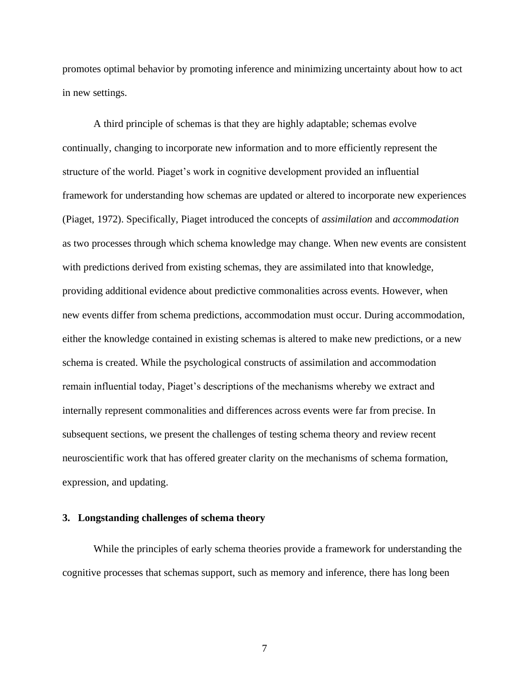promotes optimal behavior by promoting inference and minimizing uncertainty about how to act in new settings.

A third principle of schemas is that they are highly adaptable; schemas evolve continually, changing to incorporate new information and to more efficiently represent the structure of the world. Piaget's work in cognitive development provided an influential framework for understanding how schemas are updated or altered to incorporate new experiences (Piaget, 1972). Specifically, Piaget introduced the concepts of *assimilation* and *accommodation*  as two processes through which schema knowledge may change. When new events are consistent with predictions derived from existing schemas, they are assimilated into that knowledge, providing additional evidence about predictive commonalities across events. However, when new events differ from schema predictions, accommodation must occur. During accommodation, either the knowledge contained in existing schemas is altered to make new predictions, or a new schema is created. While the psychological constructs of assimilation and accommodation remain influential today, Piaget's descriptions of the mechanisms whereby we extract and internally represent commonalities and differences across events were far from precise. In subsequent sections, we present the challenges of testing schema theory and review recent neuroscientific work that has offered greater clarity on the mechanisms of schema formation, expression, and updating.

## **3. Longstanding challenges of schema theory**

While the principles of early schema theories provide a framework for understanding the cognitive processes that schemas support, such as memory and inference, there has long been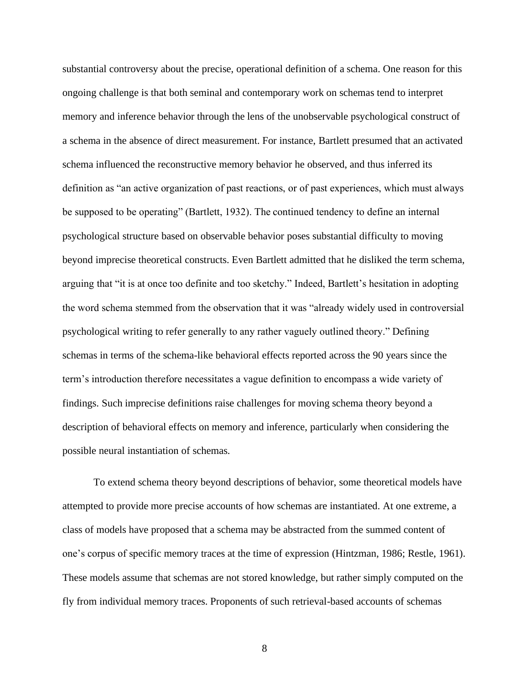substantial controversy about the precise, operational definition of a schema. One reason for this ongoing challenge is that both seminal and contemporary work on schemas tend to interpret memory and inference behavior through the lens of the unobservable psychological construct of a schema in the absence of direct measurement. For instance, Bartlett presumed that an activated schema influenced the reconstructive memory behavior he observed, and thus inferred its definition as "an active organization of past reactions, or of past experiences, which must always be supposed to be operating" (Bartlett, 1932). The continued tendency to define an internal psychological structure based on observable behavior poses substantial difficulty to moving beyond imprecise theoretical constructs. Even Bartlett admitted that he disliked the term schema, arguing that "it is at once too definite and too sketchy." Indeed, Bartlett's hesitation in adopting the word schema stemmed from the observation that it was "already widely used in controversial psychological writing to refer generally to any rather vaguely outlined theory." Defining schemas in terms of the schema-like behavioral effects reported across the 90 years since the term's introduction therefore necessitates a vague definition to encompass a wide variety of findings. Such imprecise definitions raise challenges for moving schema theory beyond a description of behavioral effects on memory and inference, particularly when considering the possible neural instantiation of schemas.

To extend schema theory beyond descriptions of behavior, some theoretical models have attempted to provide more precise accounts of how schemas are instantiated. At one extreme, a class of models have proposed that a schema may be abstracted from the summed content of one's corpus of specific memory traces at the time of expression (Hintzman, 1986; Restle, 1961). These models assume that schemas are not stored knowledge, but rather simply computed on the fly from individual memory traces. Proponents of such retrieval-based accounts of schemas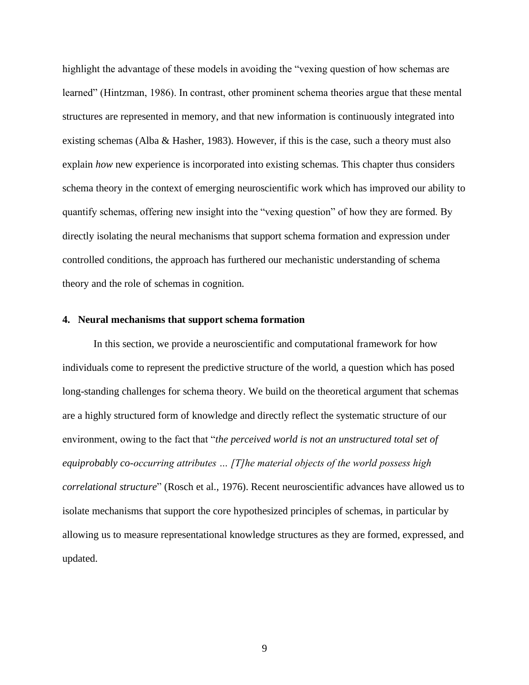highlight the advantage of these models in avoiding the "vexing question of how schemas are learned" (Hintzman, 1986). In contrast, other prominent schema theories argue that these mental structures are represented in memory, and that new information is continuously integrated into existing schemas (Alba & Hasher, 1983). However, if this is the case, such a theory must also explain *how* new experience is incorporated into existing schemas. This chapter thus considers schema theory in the context of emerging neuroscientific work which has improved our ability to quantify schemas, offering new insight into the "vexing question" of how they are formed. By directly isolating the neural mechanisms that support schema formation and expression under controlled conditions, the approach has furthered our mechanistic understanding of schema theory and the role of schemas in cognition.

## **4. Neural mechanisms that support schema formation**

In this section, we provide a neuroscientific and computational framework for how individuals come to represent the predictive structure of the world, a question which has posed long-standing challenges for schema theory. We build on the theoretical argument that schemas are a highly structured form of knowledge and directly reflect the systematic structure of our environment, owing to the fact that "*the perceived world is not an unstructured total set of equiprobably co-occurring attributes … [T]he material objects of the world possess high correlational structure*" (Rosch et al., 1976). Recent neuroscientific advances have allowed us to isolate mechanisms that support the core hypothesized principles of schemas, in particular by allowing us to measure representational knowledge structures as they are formed, expressed, and updated.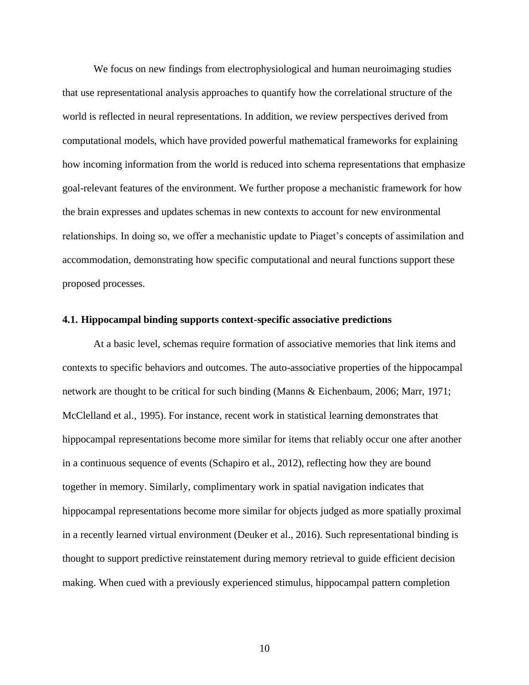We focus on new findings from electrophysiological and human neuroimaging studies that use representational analysis approaches to quantify how the correlational structure of the world is reflected in neural representations. In addition, we review perspectives derived from computational models, which have provided powerful mathematical frameworks for explaining how incoming information from the world is reduced into schema representations that emphasize goal-relevant features of the environment. We further propose a mechanistic framework for how the brain expresses and updates schemas in new contexts to account for new environmental relationships. In doing so, we offer a mechanistic update to Piaget's concepts of assimilation and accommodation, demonstrating how specific computational and neural functions support these proposed processes.

## **4.1. Hippocampal binding supports context-specific associative predictions**

At a basic level, schemas require formation of associative memories that link items and contexts to specific behaviors and outcomes. The auto-associative properties of the hippocampal network are thought to be critical for such binding (Manns & Eichenbaum, 2006; Marr, 1971; McClelland et al., 1995). For instance, recent work in statistical learning demonstrates that hippocampal representations become more similar for items that reliably occur one after another in a continuous sequence of events (Schapiro et al., 2012), reflecting how they are bound together in memory. Similarly, complimentary work in spatial navigation indicates that hippocampal representations become more similar for objects judged as more spatially proximal in a recently learned virtual environment (Deuker et al., 2016). Such representational binding is thought to support predictive reinstatement during memory retrieval to guide efficient decision making. When cued with a previously experienced stimulus, hippocampal pattern completion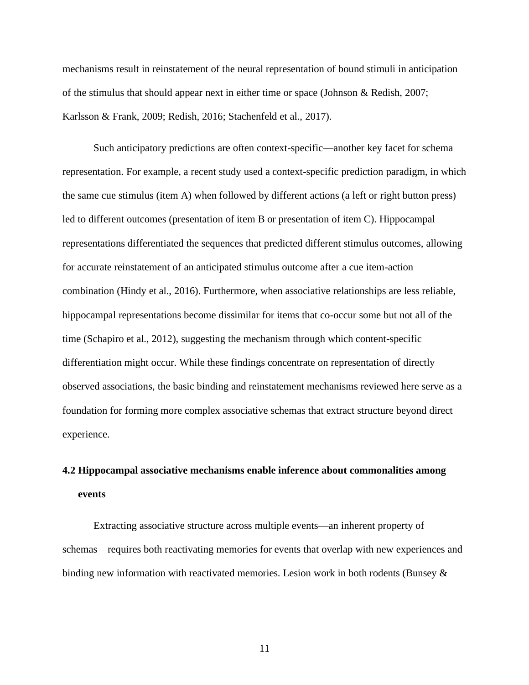mechanisms result in reinstatement of the neural representation of bound stimuli in anticipation of the stimulus that should appear next in either time or space (Johnson & Redish, 2007; Karlsson & Frank, 2009; Redish, 2016; Stachenfeld et al., 2017).

Such anticipatory predictions are often context-specific—another key facet for schema representation. For example, a recent study used a context-specific prediction paradigm, in which the same cue stimulus (item A) when followed by different actions (a left or right button press) led to different outcomes (presentation of item B or presentation of item C). Hippocampal representations differentiated the sequences that predicted different stimulus outcomes, allowing for accurate reinstatement of an anticipated stimulus outcome after a cue item-action combination (Hindy et al., 2016). Furthermore, when associative relationships are less reliable, hippocampal representations become dissimilar for items that co-occur some but not all of the time (Schapiro et al., 2012), suggesting the mechanism through which content-specific differentiation might occur. While these findings concentrate on representation of directly observed associations, the basic binding and reinstatement mechanisms reviewed here serve as a foundation for forming more complex associative schemas that extract structure beyond direct experience.

# **4.2 Hippocampal associative mechanisms enable inference about commonalities among events**

Extracting associative structure across multiple events—an inherent property of schemas—requires both reactivating memories for events that overlap with new experiences and binding new information with reactivated memories. Lesion work in both rodents (Bunsey &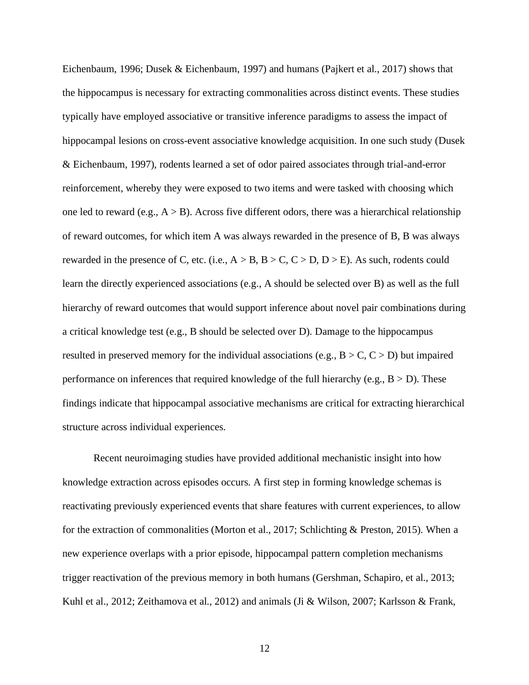Eichenbaum, 1996; Dusek & Eichenbaum, 1997) and humans (Pajkert et al., 2017) shows that the hippocampus is necessary for extracting commonalities across distinct events. These studies typically have employed associative or transitive inference paradigms to assess the impact of hippocampal lesions on cross-event associative knowledge acquisition. In one such study (Dusek & Eichenbaum, 1997), rodents learned a set of odor paired associates through trial-and-error reinforcement, whereby they were exposed to two items and were tasked with choosing which one led to reward (e.g.,  $A > B$ ). Across five different odors, there was a hierarchical relationship of reward outcomes, for which item A was always rewarded in the presence of B, B was always rewarded in the presence of C, etc. (i.e.,  $A > B$ ,  $B > C$ ,  $C > D$ ,  $D > E$ ). As such, rodents could learn the directly experienced associations (e.g., A should be selected over B) as well as the full hierarchy of reward outcomes that would support inference about novel pair combinations during a critical knowledge test (e.g., B should be selected over D). Damage to the hippocampus resulted in preserved memory for the individual associations (e.g.,  $B > C, C > D$ ) but impaired performance on inferences that required knowledge of the full hierarchy (e.g.,  $B > D$ ). These findings indicate that hippocampal associative mechanisms are critical for extracting hierarchical structure across individual experiences.

Recent neuroimaging studies have provided additional mechanistic insight into how knowledge extraction across episodes occurs. A first step in forming knowledge schemas is reactivating previously experienced events that share features with current experiences, to allow for the extraction of commonalities (Morton et al., 2017; Schlichting & Preston, 2015). When a new experience overlaps with a prior episode, hippocampal pattern completion mechanisms trigger reactivation of the previous memory in both humans (Gershman, Schapiro, et al., 2013; Kuhl et al., 2012; Zeithamova et al., 2012) and animals (Ji & Wilson, 2007; Karlsson & Frank,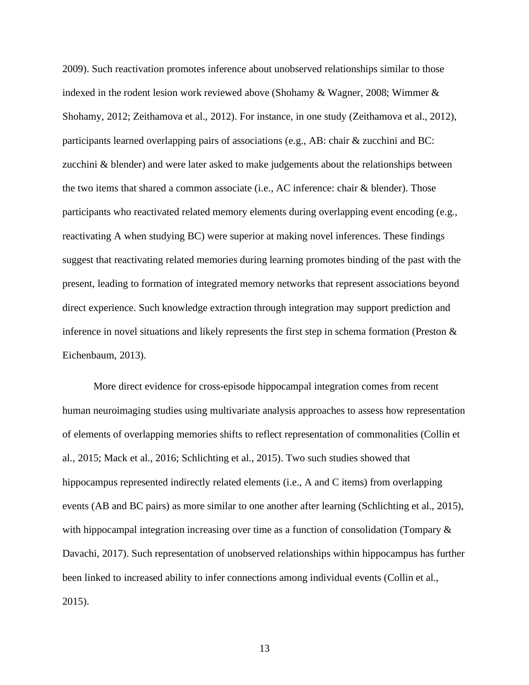2009). Such reactivation promotes inference about unobserved relationships similar to those indexed in the rodent lesion work reviewed above (Shohamy & Wagner, 2008; Wimmer & Shohamy, 2012; Zeithamova et al., 2012). For instance, in one study (Zeithamova et al., 2012), participants learned overlapping pairs of associations (e.g., AB: chair & zucchini and BC: zucchini & blender) and were later asked to make judgements about the relationships between the two items that shared a common associate (i.e., AC inference: chair & blender). Those participants who reactivated related memory elements during overlapping event encoding (e.g., reactivating A when studying BC) were superior at making novel inferences. These findings suggest that reactivating related memories during learning promotes binding of the past with the present, leading to formation of integrated memory networks that represent associations beyond direct experience. Such knowledge extraction through integration may support prediction and inference in novel situations and likely represents the first step in schema formation (Preston  $\&$ Eichenbaum, 2013).

More direct evidence for cross-episode hippocampal integration comes from recent human neuroimaging studies using multivariate analysis approaches to assess how representation of elements of overlapping memories shifts to reflect representation of commonalities (Collin et al., 2015; Mack et al., 2016; Schlichting et al., 2015). Two such studies showed that hippocampus represented indirectly related elements (i.e., A and C items) from overlapping events (AB and BC pairs) as more similar to one another after learning (Schlichting et al., 2015), with hippocampal integration increasing over time as a function of consolidation (Tompary  $\&$ Davachi, 2017). Such representation of unobserved relationships within hippocampus has further been linked to increased ability to infer connections among individual events (Collin et al., 2015).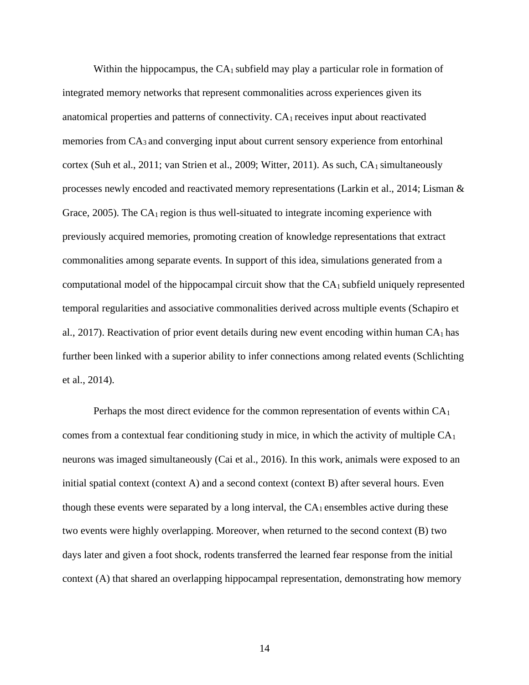Within the hippocampus, the  $CA<sub>1</sub>$  subfield may play a particular role in formation of integrated memory networks that represent commonalities across experiences given its anatomical properties and patterns of connectivity.  $CA<sub>1</sub>$  receives input about reactivated memories from CA3 and converging input about current sensory experience from entorhinal cortex (Suh et al., 2011; van Strien et al., 2009; Witter, 2011). As such,  $CA<sub>1</sub>$  simultaneously processes newly encoded and reactivated memory representations (Larkin et al., 2014; Lisman & Grace, 2005). The  $CA<sub>1</sub>$  region is thus well-situated to integrate incoming experience with previously acquired memories, promoting creation of knowledge representations that extract commonalities among separate events. In support of this idea, simulations generated from a computational model of the hippocampal circuit show that the  $CA<sub>1</sub>$  subfield uniquely represented temporal regularities and associative commonalities derived across multiple events (Schapiro et al., 2017). Reactivation of prior event details during new event encoding within human  $CA<sub>1</sub>$  has further been linked with a superior ability to infer connections among related events (Schlichting et al., 2014).

Perhaps the most direct evidence for the common representation of events within  $CA<sub>1</sub>$ comes from a contextual fear conditioning study in mice, in which the activity of multiple  $CA<sub>1</sub>$ neurons was imaged simultaneously (Cai et al., 2016). In this work, animals were exposed to an initial spatial context (context A) and a second context (context B) after several hours. Even though these events were separated by a long interval, the  $CA<sub>1</sub>$  ensembles active during these two events were highly overlapping. Moreover, when returned to the second context (B) two days later and given a foot shock, rodents transferred the learned fear response from the initial context (A) that shared an overlapping hippocampal representation, demonstrating how memory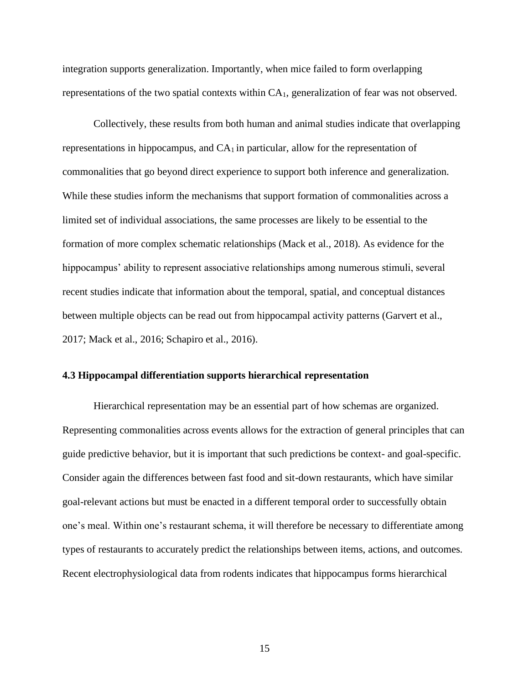integration supports generalization. Importantly, when mice failed to form overlapping representations of the two spatial contexts within  $CA<sub>1</sub>$ , generalization of fear was not observed.

Collectively, these results from both human and animal studies indicate that overlapping representations in hippocampus, and  $CA<sub>1</sub>$  in particular, allow for the representation of commonalities that go beyond direct experience to support both inference and generalization. While these studies inform the mechanisms that support formation of commonalities across a limited set of individual associations, the same processes are likely to be essential to the formation of more complex schematic relationships (Mack et al., 2018). As evidence for the hippocampus' ability to represent associative relationships among numerous stimuli, several recent studies indicate that information about the temporal, spatial, and conceptual distances between multiple objects can be read out from hippocampal activity patterns (Garvert et al., 2017; Mack et al., 2016; Schapiro et al., 2016).

# **4.3 Hippocampal differentiation supports hierarchical representation**

Hierarchical representation may be an essential part of how schemas are organized. Representing commonalities across events allows for the extraction of general principles that can guide predictive behavior, but it is important that such predictions be context- and goal-specific. Consider again the differences between fast food and sit-down restaurants, which have similar goal-relevant actions but must be enacted in a different temporal order to successfully obtain one's meal. Within one's restaurant schema, it will therefore be necessary to differentiate among types of restaurants to accurately predict the relationships between items, actions, and outcomes. Recent electrophysiological data from rodents indicates that hippocampus forms hierarchical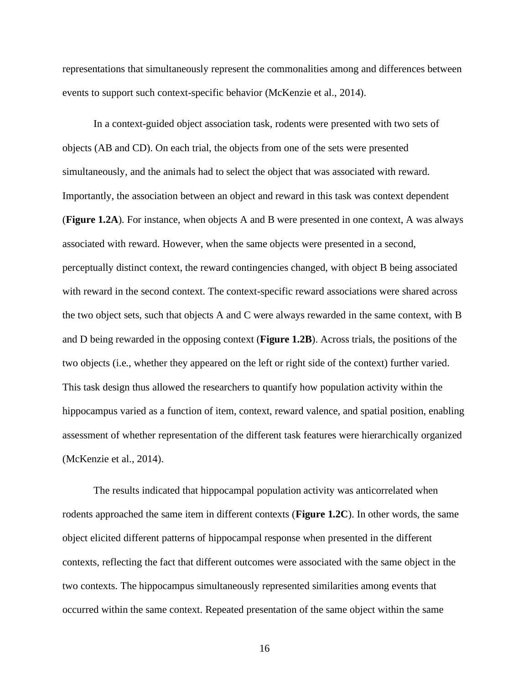representations that simultaneously represent the commonalities among and differences between events to support such context-specific behavior (McKenzie et al., 2014).

In a context-guided object association task, rodents were presented with two sets of objects (AB and CD). On each trial, the objects from one of the sets were presented simultaneously, and the animals had to select the object that was associated with reward. Importantly, the association between an object and reward in this task was context dependent (**Figure 1.2A**). For instance, when objects A and B were presented in one context, A was always associated with reward. However, when the same objects were presented in a second, perceptually distinct context, the reward contingencies changed, with object B being associated with reward in the second context. The context-specific reward associations were shared across the two object sets, such that objects A and C were always rewarded in the same context, with B and D being rewarded in the opposing context (**Figure 1.2B**). Across trials, the positions of the two objects (i.e., whether they appeared on the left or right side of the context) further varied. This task design thus allowed the researchers to quantify how population activity within the hippocampus varied as a function of item, context, reward valence, and spatial position, enabling assessment of whether representation of the different task features were hierarchically organized (McKenzie et al., 2014).

The results indicated that hippocampal population activity was anticorrelated when rodents approached the same item in different contexts (**Figure 1.2C**). In other words, the same object elicited different patterns of hippocampal response when presented in the different contexts, reflecting the fact that different outcomes were associated with the same object in the two contexts. The hippocampus simultaneously represented similarities among events that occurred within the same context. Repeated presentation of the same object within the same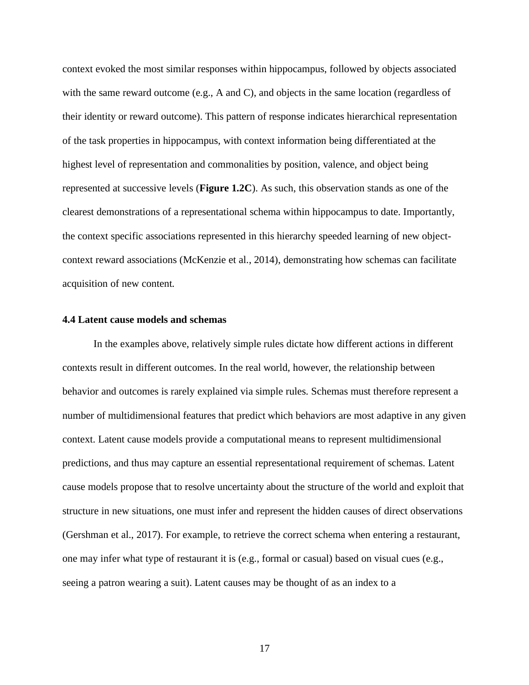context evoked the most similar responses within hippocampus, followed by objects associated with the same reward outcome (e.g., A and C), and objects in the same location (regardless of their identity or reward outcome). This pattern of response indicates hierarchical representation of the task properties in hippocampus, with context information being differentiated at the highest level of representation and commonalities by position, valence, and object being represented at successive levels (**Figure 1.2C**). As such, this observation stands as one of the clearest demonstrations of a representational schema within hippocampus to date. Importantly, the context specific associations represented in this hierarchy speeded learning of new objectcontext reward associations (McKenzie et al., 2014), demonstrating how schemas can facilitate acquisition of new content.

## **4.4 Latent cause models and schemas**

In the examples above, relatively simple rules dictate how different actions in different contexts result in different outcomes. In the real world, however, the relationship between behavior and outcomes is rarely explained via simple rules. Schemas must therefore represent a number of multidimensional features that predict which behaviors are most adaptive in any given context. Latent cause models provide a computational means to represent multidimensional predictions, and thus may capture an essential representational requirement of schemas. Latent cause models propose that to resolve uncertainty about the structure of the world and exploit that structure in new situations, one must infer and represent the hidden causes of direct observations (Gershman et al., 2017). For example, to retrieve the correct schema when entering a restaurant, one may infer what type of restaurant it is (e.g., formal or casual) based on visual cues (e.g., seeing a patron wearing a suit). Latent causes may be thought of as an index to a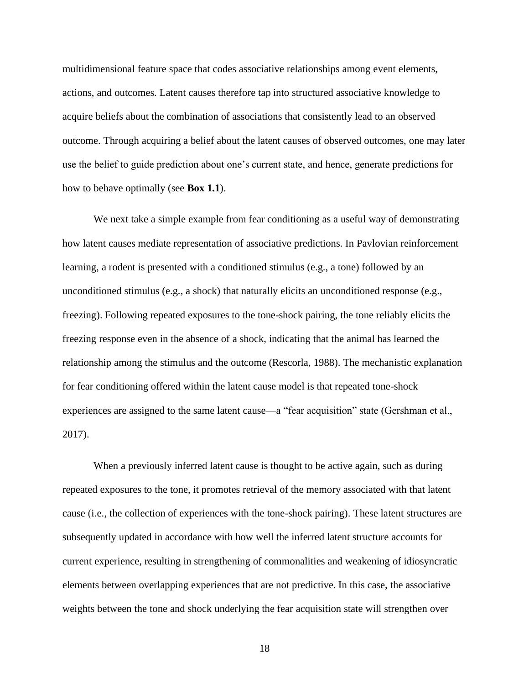multidimensional feature space that codes associative relationships among event elements, actions, and outcomes. Latent causes therefore tap into structured associative knowledge to acquire beliefs about the combination of associations that consistently lead to an observed outcome. Through acquiring a belief about the latent causes of observed outcomes, one may later use the belief to guide prediction about one's current state, and hence, generate predictions for how to behave optimally (see **Box 1.1**).

We next take a simple example from fear conditioning as a useful way of demonstrating how latent causes mediate representation of associative predictions. In Pavlovian reinforcement learning, a rodent is presented with a conditioned stimulus (e.g., a tone) followed by an unconditioned stimulus (e.g., a shock) that naturally elicits an unconditioned response (e.g., freezing). Following repeated exposures to the tone-shock pairing, the tone reliably elicits the freezing response even in the absence of a shock, indicating that the animal has learned the relationship among the stimulus and the outcome (Rescorla, 1988). The mechanistic explanation for fear conditioning offered within the latent cause model is that repeated tone-shock experiences are assigned to the same latent cause—a "fear acquisition" state (Gershman et al., 2017).

When a previously inferred latent cause is thought to be active again, such as during repeated exposures to the tone, it promotes retrieval of the memory associated with that latent cause (i.e., the collection of experiences with the tone-shock pairing). These latent structures are subsequently updated in accordance with how well the inferred latent structure accounts for current experience, resulting in strengthening of commonalities and weakening of idiosyncratic elements between overlapping experiences that are not predictive. In this case, the associative weights between the tone and shock underlying the fear acquisition state will strengthen over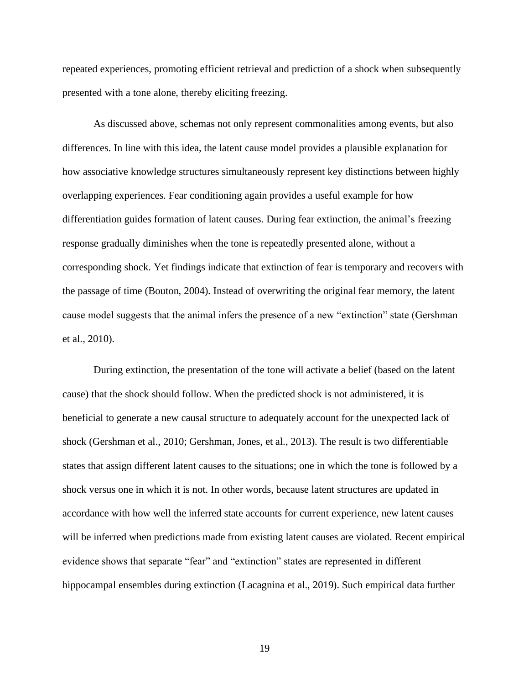repeated experiences, promoting efficient retrieval and prediction of a shock when subsequently presented with a tone alone, thereby eliciting freezing.

As discussed above, schemas not only represent commonalities among events, but also differences. In line with this idea, the latent cause model provides a plausible explanation for how associative knowledge structures simultaneously represent key distinctions between highly overlapping experiences. Fear conditioning again provides a useful example for how differentiation guides formation of latent causes. During fear extinction, the animal's freezing response gradually diminishes when the tone is repeatedly presented alone, without a corresponding shock. Yet findings indicate that extinction of fear is temporary and recovers with the passage of time (Bouton, 2004). Instead of overwriting the original fear memory, the latent cause model suggests that the animal infers the presence of a new "extinction" state (Gershman et al., 2010).

During extinction, the presentation of the tone will activate a belief (based on the latent cause) that the shock should follow. When the predicted shock is not administered, it is beneficial to generate a new causal structure to adequately account for the unexpected lack of shock (Gershman et al., 2010; Gershman, Jones, et al., 2013). The result is two differentiable states that assign different latent causes to the situations; one in which the tone is followed by a shock versus one in which it is not. In other words, because latent structures are updated in accordance with how well the inferred state accounts for current experience, new latent causes will be inferred when predictions made from existing latent causes are violated. Recent empirical evidence shows that separate "fear" and "extinction" states are represented in different hippocampal ensembles during extinction (Lacagnina et al., 2019). Such empirical data further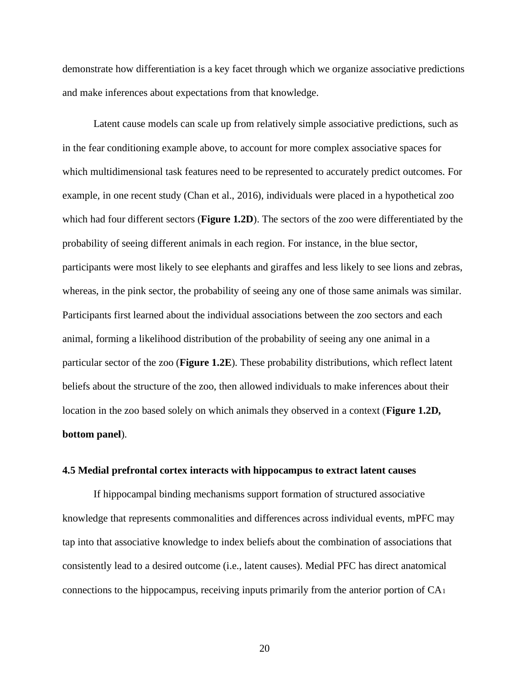demonstrate how differentiation is a key facet through which we organize associative predictions and make inferences about expectations from that knowledge.

Latent cause models can scale up from relatively simple associative predictions, such as in the fear conditioning example above, to account for more complex associative spaces for which multidimensional task features need to be represented to accurately predict outcomes. For example, in one recent study (Chan et al., 2016), individuals were placed in a hypothetical zoo which had four different sectors (**Figure 1.2D**). The sectors of the zoo were differentiated by the probability of seeing different animals in each region. For instance, in the blue sector, participants were most likely to see elephants and giraffes and less likely to see lions and zebras, whereas, in the pink sector, the probability of seeing any one of those same animals was similar. Participants first learned about the individual associations between the zoo sectors and each animal, forming a likelihood distribution of the probability of seeing any one animal in a particular sector of the zoo (**Figure 1.2E**). These probability distributions, which reflect latent beliefs about the structure of the zoo, then allowed individuals to make inferences about their location in the zoo based solely on which animals they observed in a context (**Figure 1.2D, bottom panel**).

# **4.5 Medial prefrontal cortex interacts with hippocampus to extract latent causes**

If hippocampal binding mechanisms support formation of structured associative knowledge that represents commonalities and differences across individual events, mPFC may tap into that associative knowledge to index beliefs about the combination of associations that consistently lead to a desired outcome (i.e., latent causes). Medial PFC has direct anatomical connections to the hippocampus, receiving inputs primarily from the anterior portion of  $CA<sub>1</sub>$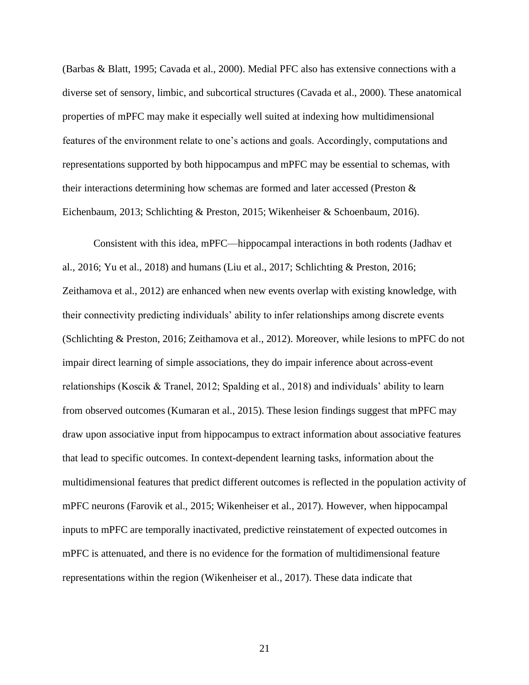(Barbas & Blatt, 1995; Cavada et al., 2000). Medial PFC also has extensive connections with a diverse set of sensory, limbic, and subcortical structures (Cavada et al., 2000). These anatomical properties of mPFC may make it especially well suited at indexing how multidimensional features of the environment relate to one's actions and goals. Accordingly, computations and representations supported by both hippocampus and mPFC may be essential to schemas, with their interactions determining how schemas are formed and later accessed (Preston & Eichenbaum, 2013; Schlichting & Preston, 2015; Wikenheiser & Schoenbaum, 2016).

Consistent with this idea, mPFC—hippocampal interactions in both rodents (Jadhav et al., 2016; Yu et al., 2018) and humans (Liu et al., 2017; Schlichting & Preston, 2016; Zeithamova et al., 2012) are enhanced when new events overlap with existing knowledge, with their connectivity predicting individuals' ability to infer relationships among discrete events (Schlichting & Preston, 2016; Zeithamova et al., 2012). Moreover, while lesions to mPFC do not impair direct learning of simple associations, they do impair inference about across-event relationships (Koscik & Tranel, 2012; Spalding et al., 2018) and individuals' ability to learn from observed outcomes (Kumaran et al., 2015). These lesion findings suggest that mPFC may draw upon associative input from hippocampus to extract information about associative features that lead to specific outcomes. In context-dependent learning tasks, information about the multidimensional features that predict different outcomes is reflected in the population activity of mPFC neurons (Farovik et al., 2015; Wikenheiser et al., 2017). However, when hippocampal inputs to mPFC are temporally inactivated, predictive reinstatement of expected outcomes in mPFC is attenuated, and there is no evidence for the formation of multidimensional feature representations within the region (Wikenheiser et al., 2017). These data indicate that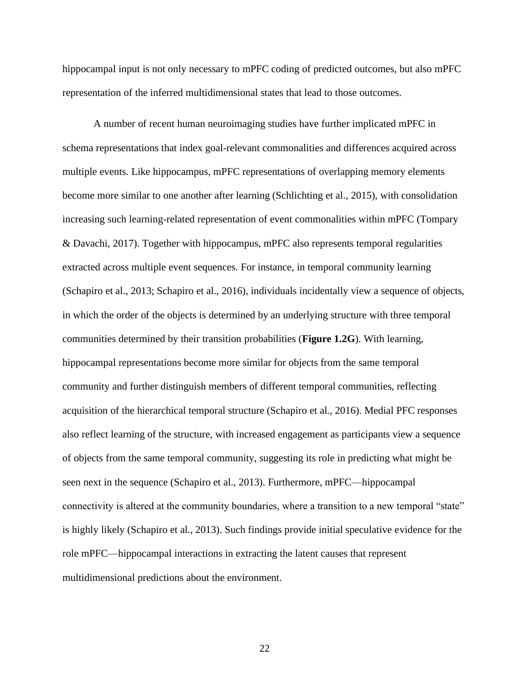hippocampal input is not only necessary to mPFC coding of predicted outcomes, but also mPFC representation of the inferred multidimensional states that lead to those outcomes.

A number of recent human neuroimaging studies have further implicated mPFC in schema representations that index goal-relevant commonalities and differences acquired across multiple events. Like hippocampus, mPFC representations of overlapping memory elements become more similar to one another after learning (Schlichting et al., 2015), with consolidation increasing such learning-related representation of event commonalities within mPFC (Tompary & Davachi, 2017). Together with hippocampus, mPFC also represents temporal regularities extracted across multiple event sequences. For instance, in temporal community learning (Schapiro et al., 2013; Schapiro et al., 2016), individuals incidentally view a sequence of objects, in which the order of the objects is determined by an underlying structure with three temporal communities determined by their transition probabilities (**Figure 1.2G**). With learning, hippocampal representations become more similar for objects from the same temporal community and further distinguish members of different temporal communities, reflecting acquisition of the hierarchical temporal structure (Schapiro et al., 2016). Medial PFC responses also reflect learning of the structure, with increased engagement as participants view a sequence of objects from the same temporal community, suggesting its role in predicting what might be seen next in the sequence (Schapiro et al., 2013). Furthermore, mPFC—hippocampal connectivity is altered at the community boundaries, where a transition to a new temporal "state" is highly likely (Schapiro et al., 2013). Such findings provide initial speculative evidence for the role mPFC—hippocampal interactions in extracting the latent causes that represent multidimensional predictions about the environment.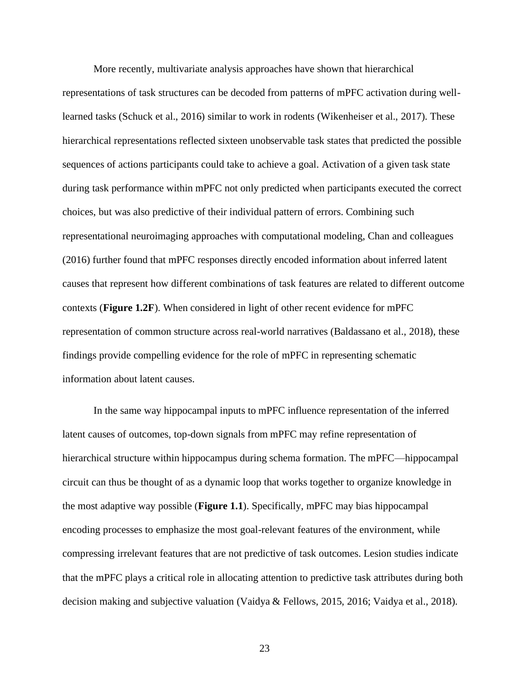More recently, multivariate analysis approaches have shown that hierarchical representations of task structures can be decoded from patterns of mPFC activation during welllearned tasks (Schuck et al., 2016) similar to work in rodents (Wikenheiser et al., 2017). These hierarchical representations reflected sixteen unobservable task states that predicted the possible sequences of actions participants could take to achieve a goal. Activation of a given task state during task performance within mPFC not only predicted when participants executed the correct choices, but was also predictive of their individual pattern of errors. Combining such representational neuroimaging approaches with computational modeling, Chan and colleagues (2016) further found that mPFC responses directly encoded information about inferred latent causes that represent how different combinations of task features are related to different outcome contexts (**Figure 1.2F**). When considered in light of other recent evidence for mPFC representation of common structure across real-world narratives (Baldassano et al., 2018), these findings provide compelling evidence for the role of mPFC in representing schematic information about latent causes.

In the same way hippocampal inputs to mPFC influence representation of the inferred latent causes of outcomes, top-down signals from mPFC may refine representation of hierarchical structure within hippocampus during schema formation. The mPFC—hippocampal circuit can thus be thought of as a dynamic loop that works together to organize knowledge in the most adaptive way possible (**Figure 1.1**). Specifically, mPFC may bias hippocampal encoding processes to emphasize the most goal-relevant features of the environment, while compressing irrelevant features that are not predictive of task outcomes. Lesion studies indicate that the mPFC plays a critical role in allocating attention to predictive task attributes during both decision making and subjective valuation (Vaidya & Fellows, 2015, 2016; Vaidya et al., 2018).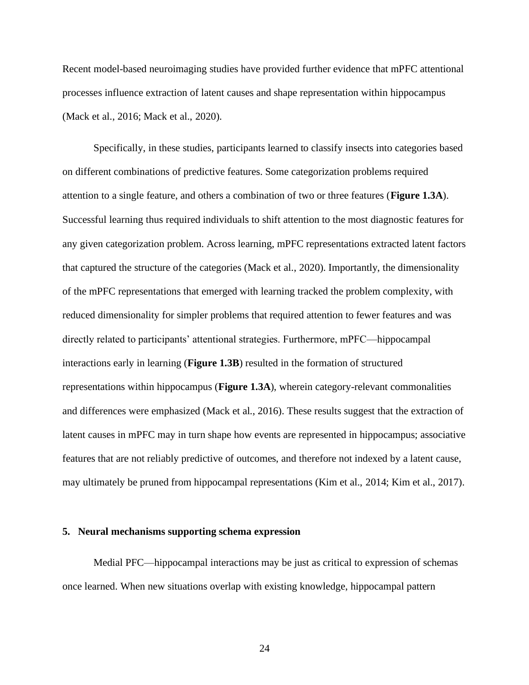Recent model-based neuroimaging studies have provided further evidence that mPFC attentional processes influence extraction of latent causes and shape representation within hippocampus (Mack et al., 2016; Mack et al., 2020).

Specifically, in these studies, participants learned to classify insects into categories based on different combinations of predictive features. Some categorization problems required attention to a single feature, and others a combination of two or three features (**Figure 1.3A**). Successful learning thus required individuals to shift attention to the most diagnostic features for any given categorization problem. Across learning, mPFC representations extracted latent factors that captured the structure of the categories (Mack et al., 2020). Importantly, the dimensionality of the mPFC representations that emerged with learning tracked the problem complexity, with reduced dimensionality for simpler problems that required attention to fewer features and was directly related to participants' attentional strategies. Furthermore, mPFC—hippocampal interactions early in learning (**Figure 1.3B**) resulted in the formation of structured representations within hippocampus (**Figure 1.3A**), wherein category-relevant commonalities and differences were emphasized (Mack et al., 2016). These results suggest that the extraction of latent causes in mPFC may in turn shape how events are represented in hippocampus; associative features that are not reliably predictive of outcomes, and therefore not indexed by a latent cause, may ultimately be pruned from hippocampal representations (Kim et al., 2014; Kim et al., 2017).

#### **5. Neural mechanisms supporting schema expression**

Medial PFC—hippocampal interactions may be just as critical to expression of schemas once learned. When new situations overlap with existing knowledge, hippocampal pattern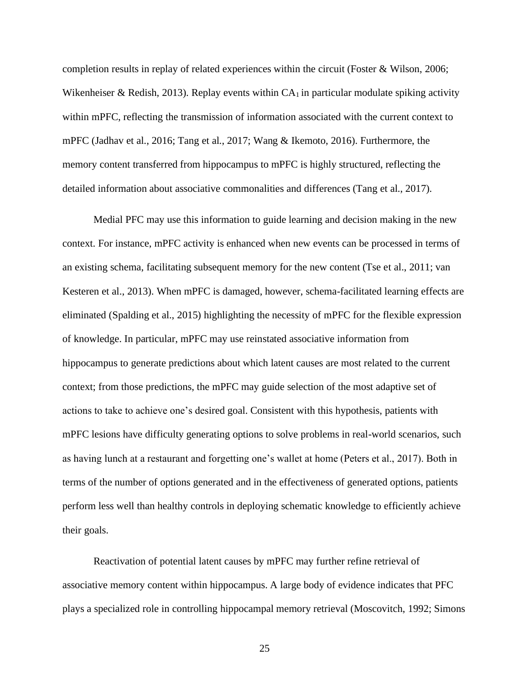completion results in replay of related experiences within the circuit (Foster & Wilson, 2006; Wikenheiser & Redish, 2013). Replay events within  $CA<sub>1</sub>$  in particular modulate spiking activity within mPFC, reflecting the transmission of information associated with the current context to mPFC (Jadhav et al., 2016; Tang et al., 2017; Wang & Ikemoto, 2016). Furthermore, the memory content transferred from hippocampus to mPFC is highly structured, reflecting the detailed information about associative commonalities and differences (Tang et al., 2017).

Medial PFC may use this information to guide learning and decision making in the new context. For instance, mPFC activity is enhanced when new events can be processed in terms of an existing schema, facilitating subsequent memory for the new content (Tse et al., 2011; van Kesteren et al., 2013). When mPFC is damaged, however, schema-facilitated learning effects are eliminated (Spalding et al., 2015) highlighting the necessity of mPFC for the flexible expression of knowledge. In particular, mPFC may use reinstated associative information from hippocampus to generate predictions about which latent causes are most related to the current context; from those predictions, the mPFC may guide selection of the most adaptive set of actions to take to achieve one's desired goal. Consistent with this hypothesis, patients with mPFC lesions have difficulty generating options to solve problems in real-world scenarios, such as having lunch at a restaurant and forgetting one's wallet at home (Peters et al., 2017). Both in terms of the number of options generated and in the effectiveness of generated options, patients perform less well than healthy controls in deploying schematic knowledge to efficiently achieve their goals.

Reactivation of potential latent causes by mPFC may further refine retrieval of associative memory content within hippocampus. A large body of evidence indicates that PFC plays a specialized role in controlling hippocampal memory retrieval (Moscovitch, 1992; Simons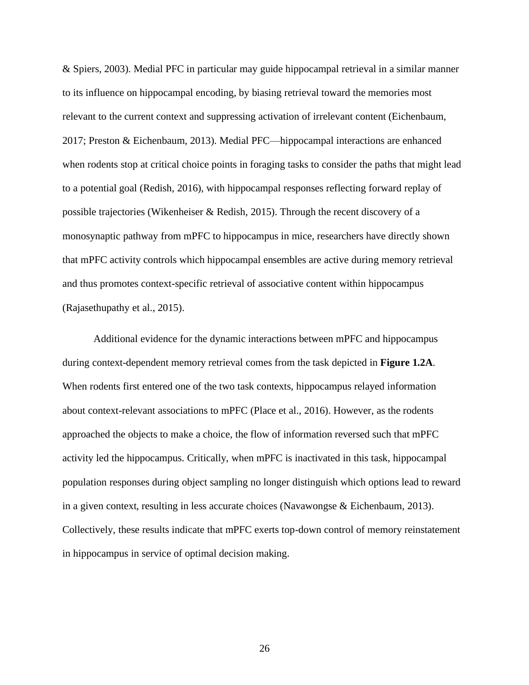& Spiers, 2003). Medial PFC in particular may guide hippocampal retrieval in a similar manner to its influence on hippocampal encoding, by biasing retrieval toward the memories most relevant to the current context and suppressing activation of irrelevant content (Eichenbaum, 2017; Preston & Eichenbaum, 2013). Medial PFC—hippocampal interactions are enhanced when rodents stop at critical choice points in foraging tasks to consider the paths that might lead to a potential goal (Redish, 2016), with hippocampal responses reflecting forward replay of possible trajectories (Wikenheiser & Redish, 2015). Through the recent discovery of a monosynaptic pathway from mPFC to hippocampus in mice, researchers have directly shown that mPFC activity controls which hippocampal ensembles are active during memory retrieval and thus promotes context-specific retrieval of associative content within hippocampus (Rajasethupathy et al., 2015).

Additional evidence for the dynamic interactions between mPFC and hippocampus during context-dependent memory retrieval comes from the task depicted in **Figure 1.2A**. When rodents first entered one of the two task contexts, hippocampus relayed information about context-relevant associations to mPFC (Place et al., 2016). However, as the rodents approached the objects to make a choice, the flow of information reversed such that mPFC activity led the hippocampus. Critically, when mPFC is inactivated in this task, hippocampal population responses during object sampling no longer distinguish which options lead to reward in a given context, resulting in less accurate choices (Navawongse & Eichenbaum, 2013). Collectively, these results indicate that mPFC exerts top-down control of memory reinstatement in hippocampus in service of optimal decision making.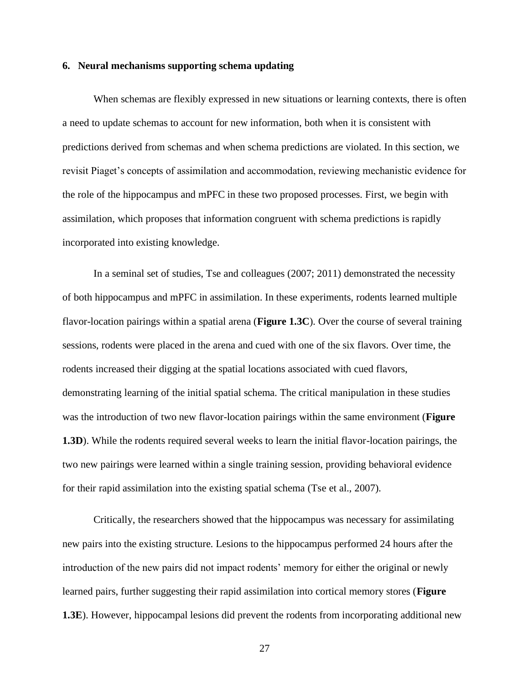## **6. Neural mechanisms supporting schema updating**

When schemas are flexibly expressed in new situations or learning contexts, there is often a need to update schemas to account for new information, both when it is consistent with predictions derived from schemas and when schema predictions are violated. In this section, we revisit Piaget's concepts of assimilation and accommodation, reviewing mechanistic evidence for the role of the hippocampus and mPFC in these two proposed processes. First, we begin with assimilation, which proposes that information congruent with schema predictions is rapidly incorporated into existing knowledge.

In a seminal set of studies, Tse and colleagues (2007; 2011) demonstrated the necessity of both hippocampus and mPFC in assimilation. In these experiments, rodents learned multiple flavor-location pairings within a spatial arena (**Figure 1.3C**). Over the course of several training sessions, rodents were placed in the arena and cued with one of the six flavors. Over time, the rodents increased their digging at the spatial locations associated with cued flavors, demonstrating learning of the initial spatial schema. The critical manipulation in these studies was the introduction of two new flavor-location pairings within the same environment (**Figure 1.3D**). While the rodents required several weeks to learn the initial flavor-location pairings, the two new pairings were learned within a single training session, providing behavioral evidence for their rapid assimilation into the existing spatial schema (Tse et al., 2007).

Critically, the researchers showed that the hippocampus was necessary for assimilating new pairs into the existing structure. Lesions to the hippocampus performed 24 hours after the introduction of the new pairs did not impact rodents' memory for either the original or newly learned pairs, further suggesting their rapid assimilation into cortical memory stores (**Figure 1.3E**). However, hippocampal lesions did prevent the rodents from incorporating additional new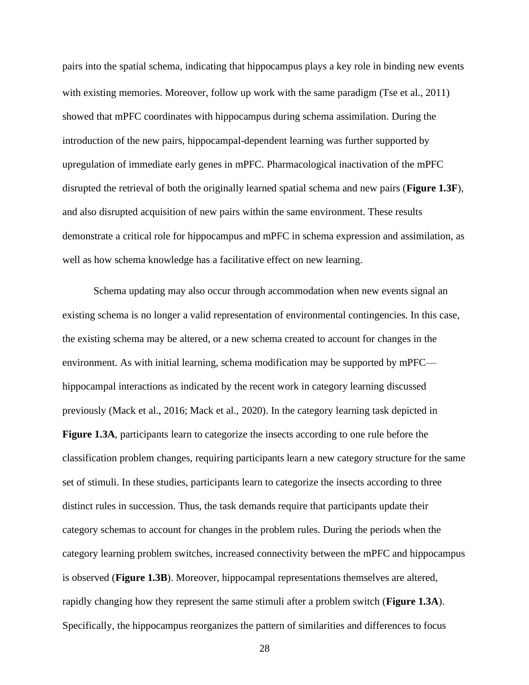pairs into the spatial schema, indicating that hippocampus plays a key role in binding new events with existing memories. Moreover, follow up work with the same paradigm (Tse et al., 2011) showed that mPFC coordinates with hippocampus during schema assimilation. During the introduction of the new pairs, hippocampal-dependent learning was further supported by upregulation of immediate early genes in mPFC. Pharmacological inactivation of the mPFC disrupted the retrieval of both the originally learned spatial schema and new pairs (**Figure 1.3F**), and also disrupted acquisition of new pairs within the same environment. These results demonstrate a critical role for hippocampus and mPFC in schema expression and assimilation, as well as how schema knowledge has a facilitative effect on new learning.

Schema updating may also occur through accommodation when new events signal an existing schema is no longer a valid representation of environmental contingencies. In this case, the existing schema may be altered, or a new schema created to account for changes in the environment. As with initial learning, schema modification may be supported by mPFC hippocampal interactions as indicated by the recent work in category learning discussed previously (Mack et al., 2016; Mack et al., 2020). In the category learning task depicted in **Figure 1.3A**, participants learn to categorize the insects according to one rule before the classification problem changes, requiring participants learn a new category structure for the same set of stimuli. In these studies, participants learn to categorize the insects according to three distinct rules in succession. Thus, the task demands require that participants update their category schemas to account for changes in the problem rules. During the periods when the category learning problem switches, increased connectivity between the mPFC and hippocampus is observed (**Figure 1.3B**). Moreover, hippocampal representations themselves are altered, rapidly changing how they represent the same stimuli after a problem switch (**Figure 1.3A**). Specifically, the hippocampus reorganizes the pattern of similarities and differences to focus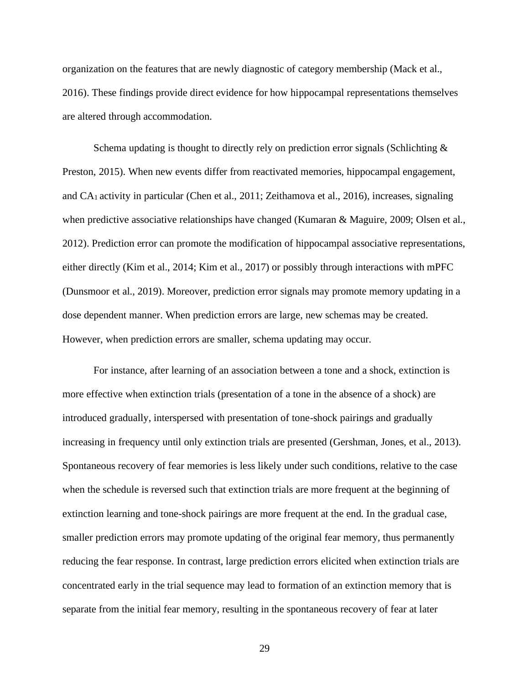organization on the features that are newly diagnostic of category membership (Mack et al., 2016). These findings provide direct evidence for how hippocampal representations themselves are altered through accommodation.

Schema updating is thought to directly rely on prediction error signals (Schlichting  $\&$ Preston, 2015). When new events differ from reactivated memories, hippocampal engagement, and CA<sup>1</sup> activity in particular (Chen et al., 2011; Zeithamova et al., 2016), increases, signaling when predictive associative relationships have changed (Kumaran & Maguire, 2009; Olsen et al., 2012). Prediction error can promote the modification of hippocampal associative representations, either directly (Kim et al., 2014; Kim et al., 2017) or possibly through interactions with mPFC (Dunsmoor et al., 2019). Moreover, prediction error signals may promote memory updating in a dose dependent manner. When prediction errors are large, new schemas may be created. However, when prediction errors are smaller, schema updating may occur.

For instance, after learning of an association between a tone and a shock, extinction is more effective when extinction trials (presentation of a tone in the absence of a shock) are introduced gradually, interspersed with presentation of tone-shock pairings and gradually increasing in frequency until only extinction trials are presented (Gershman, Jones, et al., 2013). Spontaneous recovery of fear memories is less likely under such conditions, relative to the case when the schedule is reversed such that extinction trials are more frequent at the beginning of extinction learning and tone-shock pairings are more frequent at the end. In the gradual case, smaller prediction errors may promote updating of the original fear memory, thus permanently reducing the fear response. In contrast, large prediction errors elicited when extinction trials are concentrated early in the trial sequence may lead to formation of an extinction memory that is separate from the initial fear memory, resulting in the spontaneous recovery of fear at later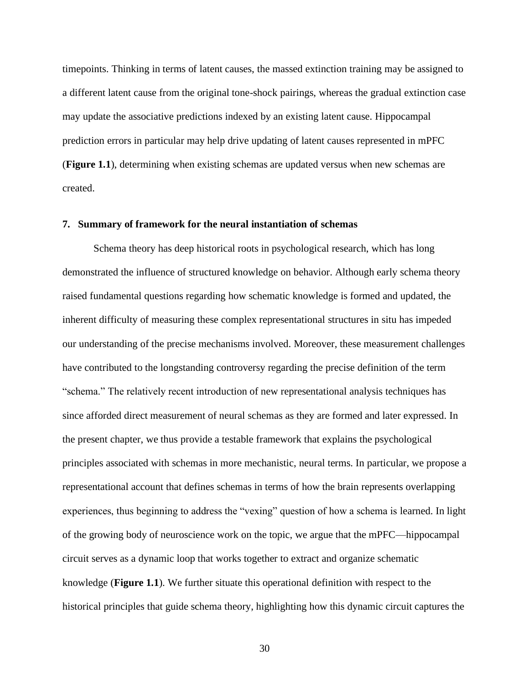timepoints. Thinking in terms of latent causes, the massed extinction training may be assigned to a different latent cause from the original tone-shock pairings, whereas the gradual extinction case may update the associative predictions indexed by an existing latent cause. Hippocampal prediction errors in particular may help drive updating of latent causes represented in mPFC (**Figure 1.1**), determining when existing schemas are updated versus when new schemas are created.

## **7. Summary of framework for the neural instantiation of schemas**

Schema theory has deep historical roots in psychological research, which has long demonstrated the influence of structured knowledge on behavior. Although early schema theory raised fundamental questions regarding how schematic knowledge is formed and updated, the inherent difficulty of measuring these complex representational structures in situ has impeded our understanding of the precise mechanisms involved. Moreover, these measurement challenges have contributed to the longstanding controversy regarding the precise definition of the term "schema." The relatively recent introduction of new representational analysis techniques has since afforded direct measurement of neural schemas as they are formed and later expressed. In the present chapter, we thus provide a testable framework that explains the psychological principles associated with schemas in more mechanistic, neural terms. In particular, we propose a representational account that defines schemas in terms of how the brain represents overlapping experiences, thus beginning to address the "vexing" question of how a schema is learned. In light of the growing body of neuroscience work on the topic, we argue that the mPFC—hippocampal circuit serves as a dynamic loop that works together to extract and organize schematic knowledge (**Figure 1.1**). We further situate this operational definition with respect to the historical principles that guide schema theory, highlighting how this dynamic circuit captures the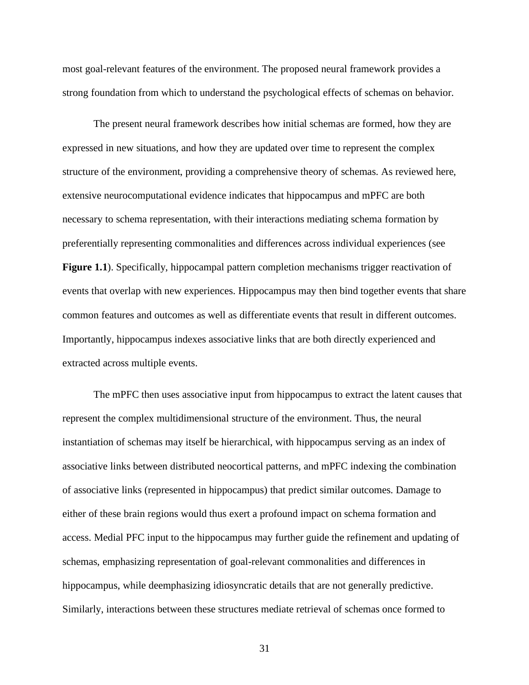most goal-relevant features of the environment. The proposed neural framework provides a strong foundation from which to understand the psychological effects of schemas on behavior.

The present neural framework describes how initial schemas are formed, how they are expressed in new situations, and how they are updated over time to represent the complex structure of the environment, providing a comprehensive theory of schemas. As reviewed here, extensive neurocomputational evidence indicates that hippocampus and mPFC are both necessary to schema representation, with their interactions mediating schema formation by preferentially representing commonalities and differences across individual experiences (see **Figure 1.1**). Specifically, hippocampal pattern completion mechanisms trigger reactivation of events that overlap with new experiences. Hippocampus may then bind together events that share common features and outcomes as well as differentiate events that result in different outcomes. Importantly, hippocampus indexes associative links that are both directly experienced and extracted across multiple events.

The mPFC then uses associative input from hippocampus to extract the latent causes that represent the complex multidimensional structure of the environment. Thus, the neural instantiation of schemas may itself be hierarchical, with hippocampus serving as an index of associative links between distributed neocortical patterns, and mPFC indexing the combination of associative links (represented in hippocampus) that predict similar outcomes. Damage to either of these brain regions would thus exert a profound impact on schema formation and access. Medial PFC input to the hippocampus may further guide the refinement and updating of schemas, emphasizing representation of goal-relevant commonalities and differences in hippocampus, while deemphasizing idiosyncratic details that are not generally predictive. Similarly, interactions between these structures mediate retrieval of schemas once formed to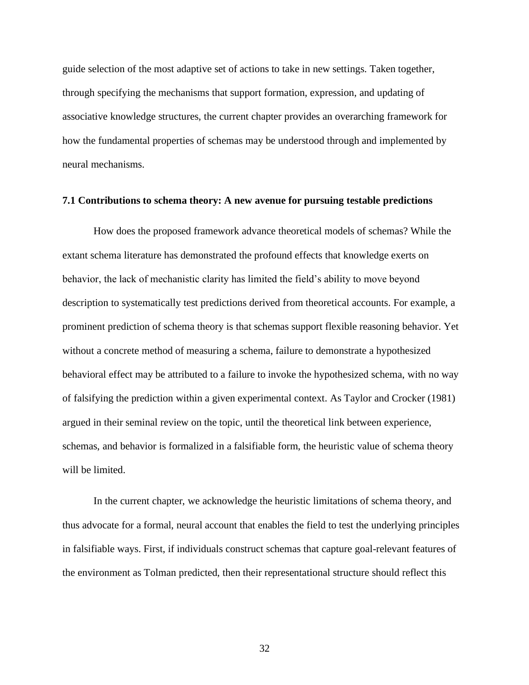guide selection of the most adaptive set of actions to take in new settings. Taken together, through specifying the mechanisms that support formation, expression, and updating of associative knowledge structures, the current chapter provides an overarching framework for how the fundamental properties of schemas may be understood through and implemented by neural mechanisms.

## **7.1 Contributions to schema theory: A new avenue for pursuing testable predictions**

How does the proposed framework advance theoretical models of schemas? While the extant schema literature has demonstrated the profound effects that knowledge exerts on behavior, the lack of mechanistic clarity has limited the field's ability to move beyond description to systematically test predictions derived from theoretical accounts. For example, a prominent prediction of schema theory is that schemas support flexible reasoning behavior. Yet without a concrete method of measuring a schema, failure to demonstrate a hypothesized behavioral effect may be attributed to a failure to invoke the hypothesized schema, with no way of falsifying the prediction within a given experimental context. As Taylor and Crocker (1981) argued in their seminal review on the topic, until the theoretical link between experience, schemas, and behavior is formalized in a falsifiable form, the heuristic value of schema theory will be limited.

In the current chapter, we acknowledge the heuristic limitations of schema theory, and thus advocate for a formal, neural account that enables the field to test the underlying principles in falsifiable ways. First, if individuals construct schemas that capture goal-relevant features of the environment as Tolman predicted, then their representational structure should reflect this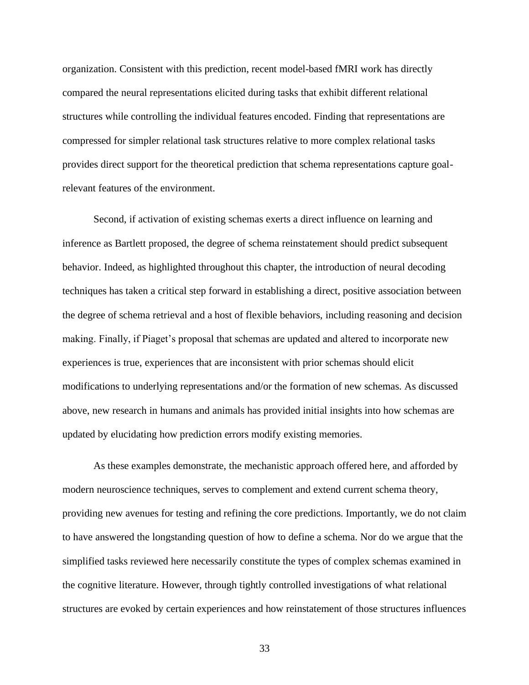organization. Consistent with this prediction, recent model-based fMRI work has directly compared the neural representations elicited during tasks that exhibit different relational structures while controlling the individual features encoded. Finding that representations are compressed for simpler relational task structures relative to more complex relational tasks provides direct support for the theoretical prediction that schema representations capture goalrelevant features of the environment.

Second, if activation of existing schemas exerts a direct influence on learning and inference as Bartlett proposed, the degree of schema reinstatement should predict subsequent behavior. Indeed, as highlighted throughout this chapter, the introduction of neural decoding techniques has taken a critical step forward in establishing a direct, positive association between the degree of schema retrieval and a host of flexible behaviors, including reasoning and decision making. Finally, if Piaget's proposal that schemas are updated and altered to incorporate new experiences is true, experiences that are inconsistent with prior schemas should elicit modifications to underlying representations and/or the formation of new schemas. As discussed above, new research in humans and animals has provided initial insights into how schemas are updated by elucidating how prediction errors modify existing memories.

As these examples demonstrate, the mechanistic approach offered here, and afforded by modern neuroscience techniques, serves to complement and extend current schema theory, providing new avenues for testing and refining the core predictions. Importantly, we do not claim to have answered the longstanding question of how to define a schema. Nor do we argue that the simplified tasks reviewed here necessarily constitute the types of complex schemas examined in the cognitive literature. However, through tightly controlled investigations of what relational structures are evoked by certain experiences and how reinstatement of those structures influences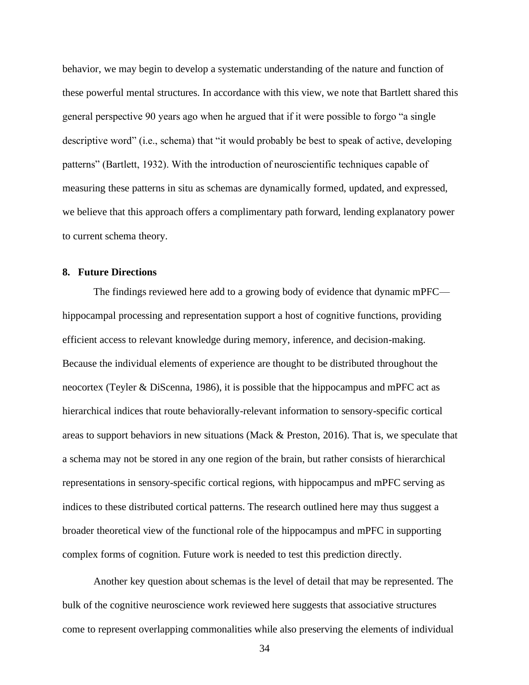behavior, we may begin to develop a systematic understanding of the nature and function of these powerful mental structures. In accordance with this view, we note that Bartlett shared this general perspective 90 years ago when he argued that if it were possible to forgo "a single descriptive word" (i.e., schema) that "it would probably be best to speak of active, developing patterns" (Bartlett, 1932). With the introduction of neuroscientific techniques capable of measuring these patterns in situ as schemas are dynamically formed, updated, and expressed, we believe that this approach offers a complimentary path forward, lending explanatory power to current schema theory.

## **8. Future Directions**

The findings reviewed here add to a growing body of evidence that dynamic mPFC hippocampal processing and representation support a host of cognitive functions, providing efficient access to relevant knowledge during memory, inference, and decision-making. Because the individual elements of experience are thought to be distributed throughout the neocortex (Teyler & DiScenna, 1986), it is possible that the hippocampus and mPFC act as hierarchical indices that route behaviorally-relevant information to sensory-specific cortical areas to support behaviors in new situations (Mack & Preston, 2016). That is, we speculate that a schema may not be stored in any one region of the brain, but rather consists of hierarchical representations in sensory-specific cortical regions, with hippocampus and mPFC serving as indices to these distributed cortical patterns. The research outlined here may thus suggest a broader theoretical view of the functional role of the hippocampus and mPFC in supporting complex forms of cognition. Future work is needed to test this prediction directly.

Another key question about schemas is the level of detail that may be represented. The bulk of the cognitive neuroscience work reviewed here suggests that associative structures come to represent overlapping commonalities while also preserving the elements of individual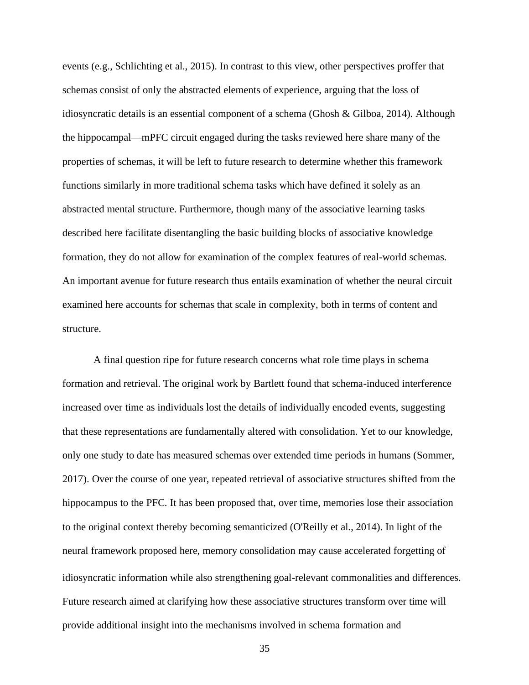events (e.g., Schlichting et al., 2015). In contrast to this view, other perspectives proffer that schemas consist of only the abstracted elements of experience, arguing that the loss of idiosyncratic details is an essential component of a schema (Ghosh & Gilboa, 2014). Although the hippocampal—mPFC circuit engaged during the tasks reviewed here share many of the properties of schemas, it will be left to future research to determine whether this framework functions similarly in more traditional schema tasks which have defined it solely as an abstracted mental structure. Furthermore, though many of the associative learning tasks described here facilitate disentangling the basic building blocks of associative knowledge formation, they do not allow for examination of the complex features of real-world schemas. An important avenue for future research thus entails examination of whether the neural circuit examined here accounts for schemas that scale in complexity, both in terms of content and structure.

A final question ripe for future research concerns what role time plays in schema formation and retrieval. The original work by Bartlett found that schema-induced interference increased over time as individuals lost the details of individually encoded events, suggesting that these representations are fundamentally altered with consolidation. Yet to our knowledge, only one study to date has measured schemas over extended time periods in humans (Sommer, 2017). Over the course of one year, repeated retrieval of associative structures shifted from the hippocampus to the PFC. It has been proposed that, over time, memories lose their association to the original context thereby becoming semanticized (O'Reilly et al., 2014). In light of the neural framework proposed here, memory consolidation may cause accelerated forgetting of idiosyncratic information while also strengthening goal-relevant commonalities and differences. Future research aimed at clarifying how these associative structures transform over time will provide additional insight into the mechanisms involved in schema formation and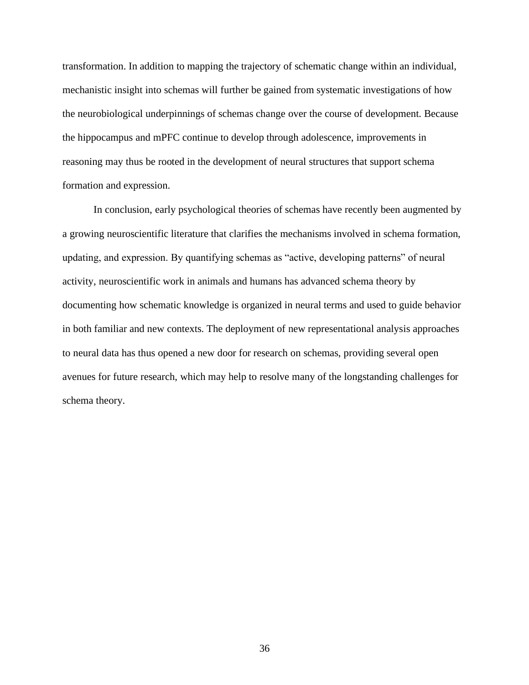transformation. In addition to mapping the trajectory of schematic change within an individual, mechanistic insight into schemas will further be gained from systematic investigations of how the neurobiological underpinnings of schemas change over the course of development. Because the hippocampus and mPFC continue to develop through adolescence, improvements in reasoning may thus be rooted in the development of neural structures that support schema formation and expression.

In conclusion, early psychological theories of schemas have recently been augmented by a growing neuroscientific literature that clarifies the mechanisms involved in schema formation, updating, and expression. By quantifying schemas as "active, developing patterns" of neural activity, neuroscientific work in animals and humans has advanced schema theory by documenting how schematic knowledge is organized in neural terms and used to guide behavior in both familiar and new contexts. The deployment of new representational analysis approaches to neural data has thus opened a new door for research on schemas, providing several open avenues for future research, which may help to resolve many of the longstanding challenges for schema theory.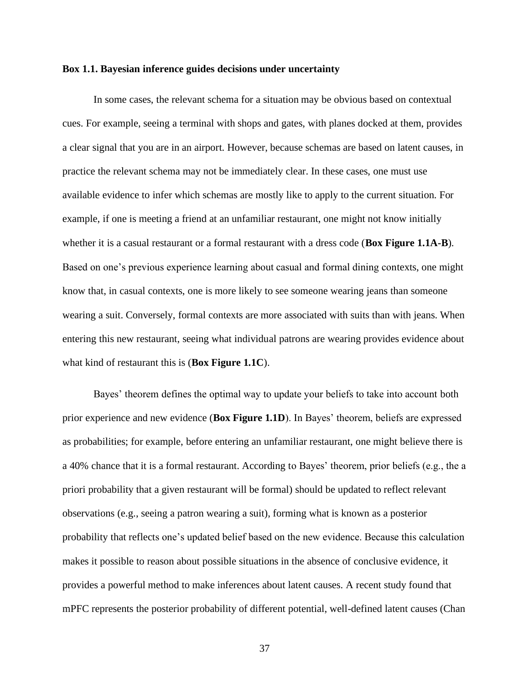## **Box 1.1. Bayesian inference guides decisions under uncertainty**

In some cases, the relevant schema for a situation may be obvious based on contextual cues. For example, seeing a terminal with shops and gates, with planes docked at them, provides a clear signal that you are in an airport. However, because schemas are based on latent causes, in practice the relevant schema may not be immediately clear. In these cases, one must use available evidence to infer which schemas are mostly like to apply to the current situation. For example, if one is meeting a friend at an unfamiliar restaurant, one might not know initially whether it is a casual restaurant or a formal restaurant with a dress code (**Box Figure 1.1A-B**). Based on one's previous experience learning about casual and formal dining contexts, one might know that, in casual contexts, one is more likely to see someone wearing jeans than someone wearing a suit. Conversely, formal contexts are more associated with suits than with jeans. When entering this new restaurant, seeing what individual patrons are wearing provides evidence about what kind of restaurant this is (**Box Figure 1.1C**).

Bayes' theorem defines the optimal way to update your beliefs to take into account both prior experience and new evidence (**Box Figure 1.1D**). In Bayes' theorem, beliefs are expressed as probabilities; for example, before entering an unfamiliar restaurant, one might believe there is a 40% chance that it is a formal restaurant. According to Bayes' theorem, prior beliefs (e.g., the a priori probability that a given restaurant will be formal) should be updated to reflect relevant observations (e.g., seeing a patron wearing a suit), forming what is known as a posterior probability that reflects one's updated belief based on the new evidence. Because this calculation makes it possible to reason about possible situations in the absence of conclusive evidence, it provides a powerful method to make inferences about latent causes. A recent study found that mPFC represents the posterior probability of different potential, well-defined latent causes (Chan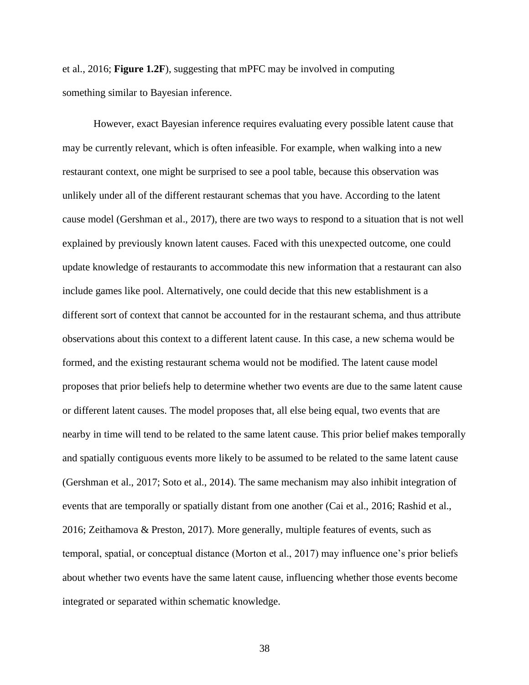et al., 2016; **Figure 1.2F**), suggesting that mPFC may be involved in computing something similar to Bayesian inference.

However, exact Bayesian inference requires evaluating every possible latent cause that may be currently relevant, which is often infeasible. For example, when walking into a new restaurant context, one might be surprised to see a pool table, because this observation was unlikely under all of the different restaurant schemas that you have. According to the latent cause model (Gershman et al., 2017), there are two ways to respond to a situation that is not well explained by previously known latent causes. Faced with this unexpected outcome, one could update knowledge of restaurants to accommodate this new information that a restaurant can also include games like pool. Alternatively, one could decide that this new establishment is a different sort of context that cannot be accounted for in the restaurant schema, and thus attribute observations about this context to a different latent cause. In this case, a new schema would be formed, and the existing restaurant schema would not be modified. The latent cause model proposes that prior beliefs help to determine whether two events are due to the same latent cause or different latent causes. The model proposes that, all else being equal, two events that are nearby in time will tend to be related to the same latent cause. This prior belief makes temporally and spatially contiguous events more likely to be assumed to be related to the same latent cause (Gershman et al., 2017; Soto et al., 2014). The same mechanism may also inhibit integration of events that are temporally or spatially distant from one another (Cai et al., 2016; Rashid et al., 2016; Zeithamova & Preston, 2017). More generally, multiple features of events, such as temporal, spatial, or conceptual distance (Morton et al., 2017) may influence one's prior beliefs about whether two events have the same latent cause, influencing whether those events become integrated or separated within schematic knowledge.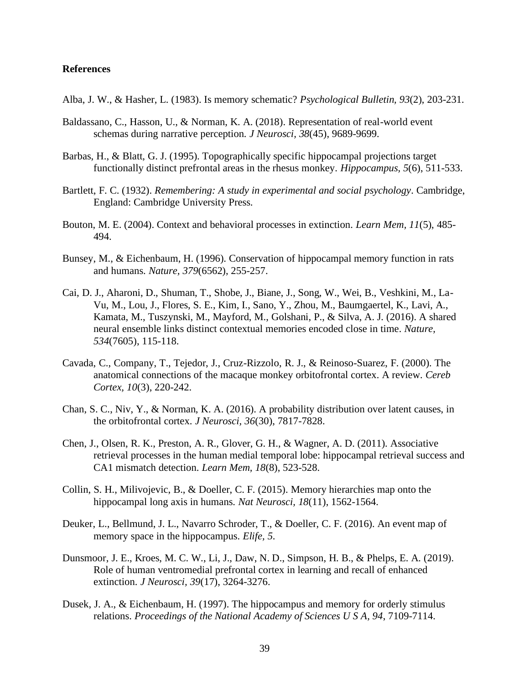## **References**

Alba, J. W., & Hasher, L. (1983). Is memory schematic? *Psychological Bulletin, 93*(2), 203-231.

- Baldassano, C., Hasson, U., & Norman, K. A. (2018). Representation of real-world event schemas during narrative perception. *J Neurosci, 38*(45), 9689-9699.
- Barbas, H., & Blatt, G. J. (1995). Topographically specific hippocampal projections target functionally distinct prefrontal areas in the rhesus monkey. *Hippocampus, 5*(6), 511-533.
- Bartlett, F. C. (1932). *Remembering: A study in experimental and social psychology*. Cambridge, England: Cambridge University Press.
- Bouton, M. E. (2004). Context and behavioral processes in extinction. *Learn Mem, 11*(5), 485- 494.
- Bunsey, M., & Eichenbaum, H. (1996). Conservation of hippocampal memory function in rats and humans. *Nature, 379*(6562), 255-257.
- Cai, D. J., Aharoni, D., Shuman, T., Shobe, J., Biane, J., Song, W., Wei, B., Veshkini, M., La-Vu, M., Lou, J., Flores, S. E., Kim, I., Sano, Y., Zhou, M., Baumgaertel, K., Lavi, A., Kamata, M., Tuszynski, M., Mayford, M., Golshani, P., & Silva, A. J. (2016). A shared neural ensemble links distinct contextual memories encoded close in time. *Nature, 534*(7605), 115-118.
- Cavada, C., Company, T., Tejedor, J., Cruz-Rizzolo, R. J., & Reinoso-Suarez, F. (2000). The anatomical connections of the macaque monkey orbitofrontal cortex. A review. *Cereb Cortex, 10*(3), 220-242.
- Chan, S. C., Niv, Y., & Norman, K. A. (2016). A probability distribution over latent causes, in the orbitofrontal cortex. *J Neurosci, 36*(30), 7817-7828.
- Chen, J., Olsen, R. K., Preston, A. R., Glover, G. H., & Wagner, A. D. (2011). Associative retrieval processes in the human medial temporal lobe: hippocampal retrieval success and CA1 mismatch detection. *Learn Mem, 18*(8), 523-528.
- Collin, S. H., Milivojevic, B., & Doeller, C. F. (2015). Memory hierarchies map onto the hippocampal long axis in humans. *Nat Neurosci, 18*(11), 1562-1564.
- Deuker, L., Bellmund, J. L., Navarro Schroder, T., & Doeller, C. F. (2016). An event map of memory space in the hippocampus. *Elife, 5*.
- Dunsmoor, J. E., Kroes, M. C. W., Li, J., Daw, N. D., Simpson, H. B., & Phelps, E. A. (2019). Role of human ventromedial prefrontal cortex in learning and recall of enhanced extinction. *J Neurosci, 39*(17), 3264-3276.
- Dusek, J. A., & Eichenbaum, H. (1997). The hippocampus and memory for orderly stimulus relations. *Proceedings of the National Academy of Sciences U S A, 94*, 7109-7114.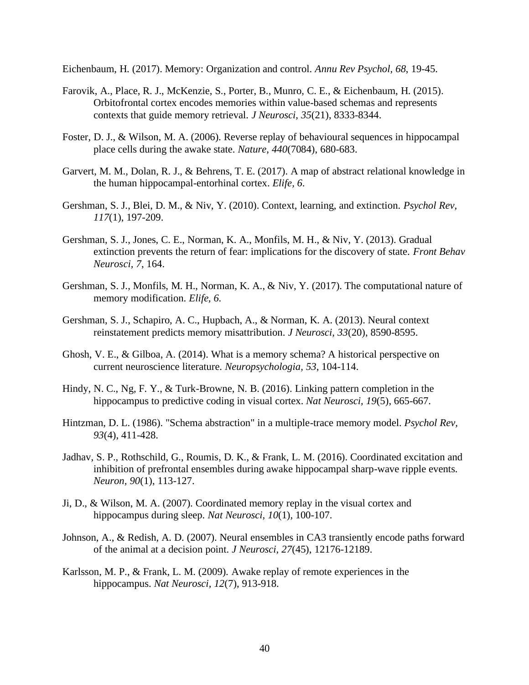Eichenbaum, H. (2017). Memory: Organization and control. *Annu Rev Psychol, 68*, 19-45.

- Farovik, A., Place, R. J., McKenzie, S., Porter, B., Munro, C. E., & Eichenbaum, H. (2015). Orbitofrontal cortex encodes memories within value-based schemas and represents contexts that guide memory retrieval. *J Neurosci, 35*(21), 8333-8344.
- Foster, D. J., & Wilson, M. A. (2006). Reverse replay of behavioural sequences in hippocampal place cells during the awake state. *Nature, 440*(7084), 680-683.
- Garvert, M. M., Dolan, R. J., & Behrens, T. E. (2017). A map of abstract relational knowledge in the human hippocampal-entorhinal cortex. *Elife, 6*.
- Gershman, S. J., Blei, D. M., & Niv, Y. (2010). Context, learning, and extinction. *Psychol Rev, 117*(1), 197-209.
- Gershman, S. J., Jones, C. E., Norman, K. A., Monfils, M. H., & Niv, Y. (2013). Gradual extinction prevents the return of fear: implications for the discovery of state. *Front Behav Neurosci, 7*, 164.
- Gershman, S. J., Monfils, M. H., Norman, K. A., & Niv, Y. (2017). The computational nature of memory modification. *Elife, 6*.
- Gershman, S. J., Schapiro, A. C., Hupbach, A., & Norman, K. A. (2013). Neural context reinstatement predicts memory misattribution. *J Neurosci, 33*(20), 8590-8595.
- Ghosh, V. E., & Gilboa, A. (2014). What is a memory schema? A historical perspective on current neuroscience literature. *Neuropsychologia, 53*, 104-114.
- Hindy, N. C., Ng, F. Y., & Turk-Browne, N. B. (2016). Linking pattern completion in the hippocampus to predictive coding in visual cortex. *Nat Neurosci, 19*(5), 665-667.
- Hintzman, D. L. (1986). "Schema abstraction" in a multiple-trace memory model. *Psychol Rev, 93*(4), 411-428.
- Jadhav, S. P., Rothschild, G., Roumis, D. K., & Frank, L. M. (2016). Coordinated excitation and inhibition of prefrontal ensembles during awake hippocampal sharp-wave ripple events. *Neuron, 90*(1), 113-127.
- Ji, D., & Wilson, M. A. (2007). Coordinated memory replay in the visual cortex and hippocampus during sleep. *Nat Neurosci, 10*(1), 100-107.
- Johnson, A., & Redish, A. D. (2007). Neural ensembles in CA3 transiently encode paths forward of the animal at a decision point. *J Neurosci, 27*(45), 12176-12189.
- Karlsson, M. P., & Frank, L. M. (2009). Awake replay of remote experiences in the hippocampus. *Nat Neurosci, 12*(7), 913-918.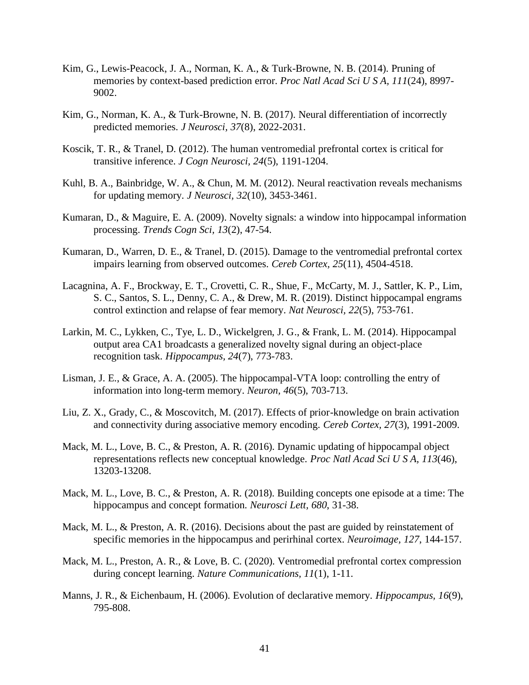- Kim, G., Lewis-Peacock, J. A., Norman, K. A., & Turk-Browne, N. B. (2014). Pruning of memories by context-based prediction error. *Proc Natl Acad Sci U S A, 111*(24), 8997- 9002.
- Kim, G., Norman, K. A., & Turk-Browne, N. B. (2017). Neural differentiation of incorrectly predicted memories. *J Neurosci, 37*(8), 2022-2031.
- Koscik, T. R., & Tranel, D. (2012). The human ventromedial prefrontal cortex is critical for transitive inference. *J Cogn Neurosci, 24*(5), 1191-1204.
- Kuhl, B. A., Bainbridge, W. A., & Chun, M. M. (2012). Neural reactivation reveals mechanisms for updating memory. *J Neurosci, 32*(10), 3453-3461.
- Kumaran, D., & Maguire, E. A. (2009). Novelty signals: a window into hippocampal information processing. *Trends Cogn Sci, 13*(2), 47-54.
- Kumaran, D., Warren, D. E., & Tranel, D. (2015). Damage to the ventromedial prefrontal cortex impairs learning from observed outcomes. *Cereb Cortex, 25*(11), 4504-4518.
- Lacagnina, A. F., Brockway, E. T., Crovetti, C. R., Shue, F., McCarty, M. J., Sattler, K. P., Lim, S. C., Santos, S. L., Denny, C. A., & Drew, M. R. (2019). Distinct hippocampal engrams control extinction and relapse of fear memory. *Nat Neurosci, 22*(5), 753-761.
- Larkin, M. C., Lykken, C., Tye, L. D., Wickelgren, J. G., & Frank, L. M. (2014). Hippocampal output area CA1 broadcasts a generalized novelty signal during an object-place recognition task. *Hippocampus, 24*(7), 773-783.
- Lisman, J. E., & Grace, A. A. (2005). The hippocampal-VTA loop: controlling the entry of information into long-term memory. *Neuron, 46*(5), 703-713.
- Liu, Z. X., Grady, C., & Moscovitch, M. (2017). Effects of prior-knowledge on brain activation and connectivity during associative memory encoding. *Cereb Cortex, 27*(3), 1991-2009.
- Mack, M. L., Love, B. C., & Preston, A. R. (2016). Dynamic updating of hippocampal object representations reflects new conceptual knowledge. *Proc Natl Acad Sci U S A, 113*(46), 13203-13208.
- Mack, M. L., Love, B. C., & Preston, A. R. (2018). Building concepts one episode at a time: The hippocampus and concept formation. *Neurosci Lett, 680*, 31-38.
- Mack, M. L., & Preston, A. R. (2016). Decisions about the past are guided by reinstatement of specific memories in the hippocampus and perirhinal cortex. *Neuroimage, 127*, 144-157.
- Mack, M. L., Preston, A. R., & Love, B. C. (2020). Ventromedial prefrontal cortex compression during concept learning. *Nature Communications, 11*(1), 1-11.
- Manns, J. R., & Eichenbaum, H. (2006). Evolution of declarative memory. *Hippocampus, 16*(9), 795-808.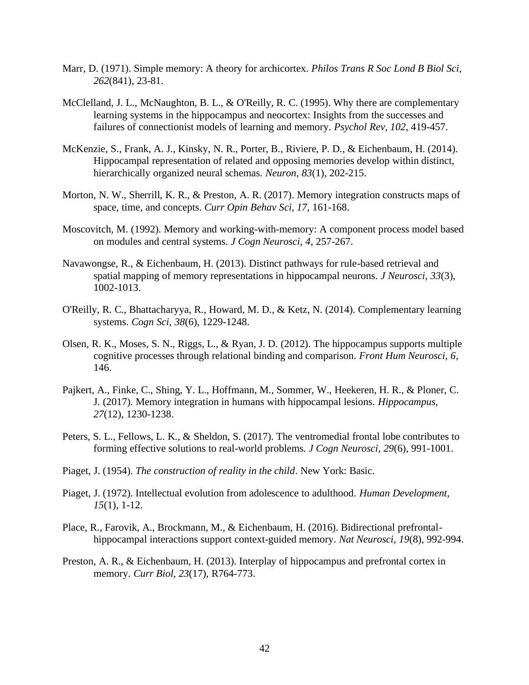- Marr, D. (1971). Simple memory: A theory for archicortex. *Philos Trans R Soc Lond B Biol Sci, 262*(841), 23-81.
- McClelland, J. L., McNaughton, B. L., & O'Reilly, R. C. (1995). Why there are complementary learning systems in the hippocampus and neocortex: Insights from the successes and failures of connectionist models of learning and memory. *Psychol Rev, 102*, 419-457.
- McKenzie, S., Frank, A. J., Kinsky, N. R., Porter, B., Riviere, P. D., & Eichenbaum, H. (2014). Hippocampal representation of related and opposing memories develop within distinct, hierarchically organized neural schemas. *Neuron, 83*(1), 202-215.
- Morton, N. W., Sherrill, K. R., & Preston, A. R. (2017). Memory integration constructs maps of space, time, and concepts. *Curr Opin Behav Sci, 17*, 161-168.
- Moscovitch, M. (1992). Memory and working-with-memory: A component process model based on modules and central systems. *J Cogn Neurosci, 4*, 257-267.
- Navawongse, R., & Eichenbaum, H. (2013). Distinct pathways for rule-based retrieval and spatial mapping of memory representations in hippocampal neurons. *J Neurosci, 33*(3), 1002-1013.
- O'Reilly, R. C., Bhattacharyya, R., Howard, M. D., & Ketz, N. (2014). Complementary learning systems. *Cogn Sci, 38*(6), 1229-1248.
- Olsen, R. K., Moses, S. N., Riggs, L., & Ryan, J. D. (2012). The hippocampus supports multiple cognitive processes through relational binding and comparison. *Front Hum Neurosci, 6*, 146.
- Pajkert, A., Finke, C., Shing, Y. L., Hoffmann, M., Sommer, W., Heekeren, H. R., & Ploner, C. J. (2017). Memory integration in humans with hippocampal lesions. *Hippocampus, 27*(12), 1230-1238.
- Peters, S. L., Fellows, L. K., & Sheldon, S. (2017). The ventromedial frontal lobe contributes to forming effective solutions to real-world problems. *J Cogn Neurosci, 29*(6), 991-1001.
- Piaget, J. (1954). *The construction of reality in the child*. New York: Basic.
- Piaget, J. (1972). Intellectual evolution from adolescence to adulthood. *Human Development, 15*(1), 1-12.
- Place, R., Farovik, A., Brockmann, M., & Eichenbaum, H. (2016). Bidirectional prefrontalhippocampal interactions support context-guided memory. *Nat Neurosci, 19*(8), 992-994.
- Preston, A. R., & Eichenbaum, H. (2013). Interplay of hippocampus and prefrontal cortex in memory. *Curr Biol, 23*(17), R764-773.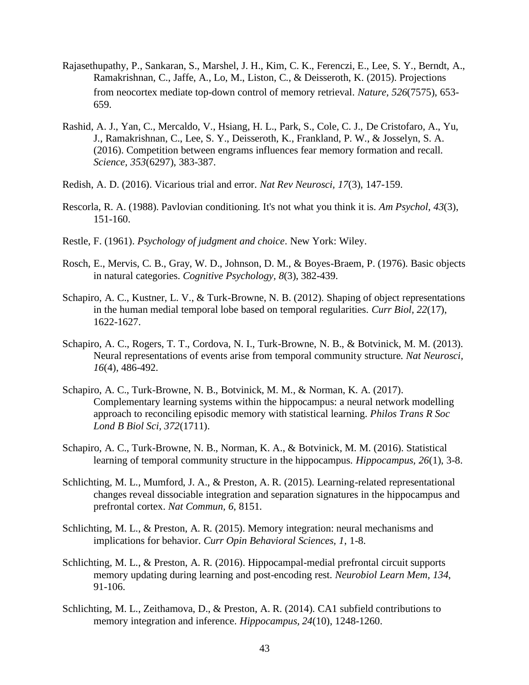- Rajasethupathy, P., Sankaran, S., Marshel, J. H., Kim, C. K., Ferenczi, E., Lee, S. Y., Berndt, A., Ramakrishnan, C., Jaffe, A., Lo, M., Liston, C., & Deisseroth, K. (2015). Projections from neocortex mediate top-down control of memory retrieval. *Nature, 526*(7575), 653- 659.
- Rashid, A. J., Yan, C., Mercaldo, V., Hsiang, H. L., Park, S., Cole, C. J., De Cristofaro, A., Yu, J., Ramakrishnan, C., Lee, S. Y., Deisseroth, K., Frankland, P. W., & Josselyn, S. A. (2016). Competition between engrams influences fear memory formation and recall. *Science, 353*(6297), 383-387.
- Redish, A. D. (2016). Vicarious trial and error. *Nat Rev Neurosci, 17*(3), 147-159.
- Rescorla, R. A. (1988). Pavlovian conditioning. It's not what you think it is. *Am Psychol, 43*(3), 151-160.
- Restle, F. (1961). *Psychology of judgment and choice*. New York: Wiley.
- Rosch, E., Mervis, C. B., Gray, W. D., Johnson, D. M., & Boyes-Braem, P. (1976). Basic objects in natural categories. *Cognitive Psychology, 8*(3), 382-439.
- Schapiro, A. C., Kustner, L. V., & Turk-Browne, N. B. (2012). Shaping of object representations in the human medial temporal lobe based on temporal regularities. *Curr Biol, 22*(17), 1622-1627.
- Schapiro, A. C., Rogers, T. T., Cordova, N. I., Turk-Browne, N. B., & Botvinick, M. M. (2013). Neural representations of events arise from temporal community structure. *Nat Neurosci, 16*(4), 486-492.
- Schapiro, A. C., Turk-Browne, N. B., Botvinick, M. M., & Norman, K. A. (2017). Complementary learning systems within the hippocampus: a neural network modelling approach to reconciling episodic memory with statistical learning. *Philos Trans R Soc Lond B Biol Sci, 372*(1711).
- Schapiro, A. C., Turk-Browne, N. B., Norman, K. A., & Botvinick, M. M. (2016). Statistical learning of temporal community structure in the hippocampus. *Hippocampus, 26*(1), 3-8.
- Schlichting, M. L., Mumford, J. A., & Preston, A. R. (2015). Learning-related representational changes reveal dissociable integration and separation signatures in the hippocampus and prefrontal cortex. *Nat Commun, 6*, 8151.
- Schlichting, M. L., & Preston, A. R. (2015). Memory integration: neural mechanisms and implications for behavior. *Curr Opin Behavioral Sciences, 1*, 1-8.
- Schlichting, M. L., & Preston, A. R. (2016). Hippocampal-medial prefrontal circuit supports memory updating during learning and post-encoding rest. *Neurobiol Learn Mem, 134*, 91-106.
- Schlichting, M. L., Zeithamova, D., & Preston, A. R. (2014). CA1 subfield contributions to memory integration and inference. *Hippocampus, 24*(10), 1248-1260.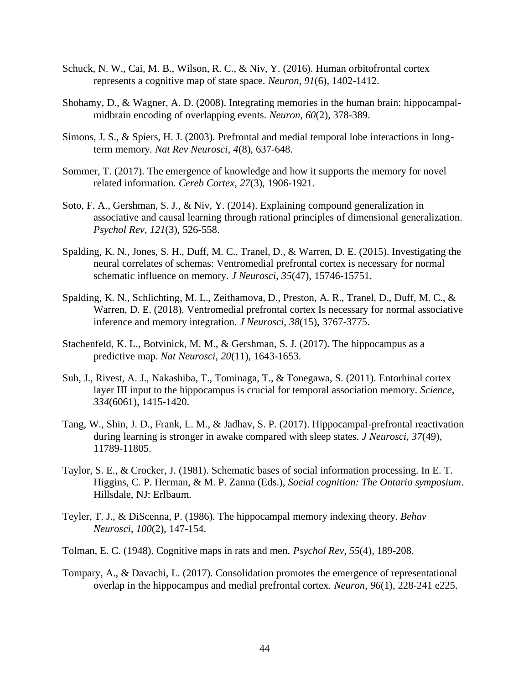- Schuck, N. W., Cai, M. B., Wilson, R. C., & Niv, Y. (2016). Human orbitofrontal cortex represents a cognitive map of state space. *Neuron, 91*(6), 1402-1412.
- Shohamy, D., & Wagner, A. D. (2008). Integrating memories in the human brain: hippocampalmidbrain encoding of overlapping events. *Neuron, 60*(2), 378-389.
- Simons, J. S., & Spiers, H. J. (2003). Prefrontal and medial temporal lobe interactions in longterm memory. *Nat Rev Neurosci, 4*(8), 637-648.
- Sommer, T. (2017). The emergence of knowledge and how it supports the memory for novel related information. *Cereb Cortex, 27*(3), 1906-1921.
- Soto, F. A., Gershman, S. J., & Niv, Y. (2014). Explaining compound generalization in associative and causal learning through rational principles of dimensional generalization. *Psychol Rev, 121*(3), 526-558.
- Spalding, K. N., Jones, S. H., Duff, M. C., Tranel, D., & Warren, D. E. (2015). Investigating the neural correlates of schemas: Ventromedial prefrontal cortex is necessary for normal schematic influence on memory. *J Neurosci, 35*(47), 15746-15751.
- Spalding, K. N., Schlichting, M. L., Zeithamova, D., Preston, A. R., Tranel, D., Duff, M. C., & Warren, D. E. (2018). Ventromedial prefrontal cortex Is necessary for normal associative inference and memory integration. *J Neurosci, 38*(15), 3767-3775.
- Stachenfeld, K. L., Botvinick, M. M., & Gershman, S. J. (2017). The hippocampus as a predictive map. *Nat Neurosci, 20*(11), 1643-1653.
- Suh, J., Rivest, A. J., Nakashiba, T., Tominaga, T., & Tonegawa, S. (2011). Entorhinal cortex layer III input to the hippocampus is crucial for temporal association memory. *Science, 334*(6061), 1415-1420.
- Tang, W., Shin, J. D., Frank, L. M., & Jadhav, S. P. (2017). Hippocampal-prefrontal reactivation during learning is stronger in awake compared with sleep states. *J Neurosci, 37*(49), 11789-11805.
- Taylor, S. E., & Crocker, J. (1981). Schematic bases of social information processing. In E. T. Higgins, C. P. Herman, & M. P. Zanna (Eds.), *Social cognition: The Ontario symposium*. Hillsdale, NJ: Erlbaum.
- Teyler, T. J., & DiScenna, P. (1986). The hippocampal memory indexing theory. *Behav Neurosci, 100*(2), 147-154.
- Tolman, E. C. (1948). Cognitive maps in rats and men. *Psychol Rev, 55*(4), 189-208.
- Tompary, A., & Davachi, L. (2017). Consolidation promotes the emergence of representational overlap in the hippocampus and medial prefrontal cortex. *Neuron, 96*(1), 228-241 e225.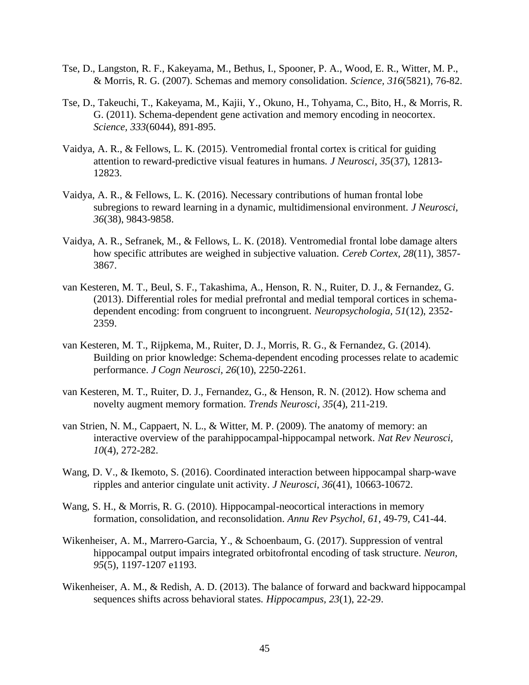- Tse, D., Langston, R. F., Kakeyama, M., Bethus, I., Spooner, P. A., Wood, E. R., Witter, M. P., & Morris, R. G. (2007). Schemas and memory consolidation. *Science, 316*(5821), 76-82.
- Tse, D., Takeuchi, T., Kakeyama, M., Kajii, Y., Okuno, H., Tohyama, C., Bito, H., & Morris, R. G. (2011). Schema-dependent gene activation and memory encoding in neocortex. *Science, 333*(6044), 891-895.
- Vaidya, A. R., & Fellows, L. K. (2015). Ventromedial frontal cortex is critical for guiding attention to reward-predictive visual features in humans. *J Neurosci, 35*(37), 12813- 12823.
- Vaidya, A. R., & Fellows, L. K. (2016). Necessary contributions of human frontal lobe subregions to reward learning in a dynamic, multidimensional environment. *J Neurosci, 36*(38), 9843-9858.
- Vaidya, A. R., Sefranek, M., & Fellows, L. K. (2018). Ventromedial frontal lobe damage alters how specific attributes are weighed in subjective valuation. *Cereb Cortex, 28*(11), 3857- 3867.
- van Kesteren, M. T., Beul, S. F., Takashima, A., Henson, R. N., Ruiter, D. J., & Fernandez, G. (2013). Differential roles for medial prefrontal and medial temporal cortices in schemadependent encoding: from congruent to incongruent. *Neuropsychologia, 51*(12), 2352- 2359.
- van Kesteren, M. T., Rijpkema, M., Ruiter, D. J., Morris, R. G., & Fernandez, G. (2014). Building on prior knowledge: Schema-dependent encoding processes relate to academic performance. *J Cogn Neurosci, 26*(10), 2250-2261.
- van Kesteren, M. T., Ruiter, D. J., Fernandez, G., & Henson, R. N. (2012). How schema and novelty augment memory formation. *Trends Neurosci, 35*(4), 211-219.
- van Strien, N. M., Cappaert, N. L., & Witter, M. P. (2009). The anatomy of memory: an interactive overview of the parahippocampal-hippocampal network. *Nat Rev Neurosci, 10*(4), 272-282.
- Wang, D. V., & Ikemoto, S. (2016). Coordinated interaction between hippocampal sharp-wave ripples and anterior cingulate unit activity. *J Neurosci, 36*(41), 10663-10672.
- Wang, S. H., & Morris, R. G. (2010). Hippocampal-neocortical interactions in memory formation, consolidation, and reconsolidation. *Annu Rev Psychol, 61*, 49-79, C41-44.
- Wikenheiser, A. M., Marrero-Garcia, Y., & Schoenbaum, G. (2017). Suppression of ventral hippocampal output impairs integrated orbitofrontal encoding of task structure. *Neuron, 95*(5), 1197-1207 e1193.
- Wikenheiser, A. M., & Redish, A. D. (2013). The balance of forward and backward hippocampal sequences shifts across behavioral states. *Hippocampus, 23*(1), 22-29.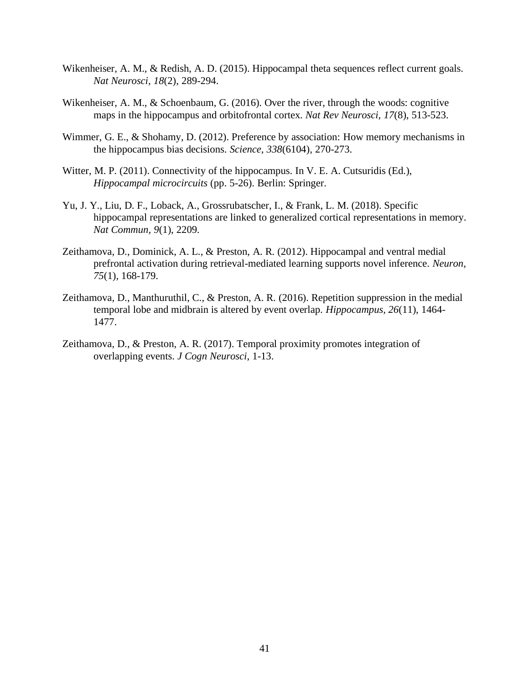- Wikenheiser, A. M., & Redish, A. D. (2015). Hippocampal theta sequences reflect current goals. *Nat Neurosci, 18*(2), 289-294.
- Wikenheiser, A. M., & Schoenbaum, G. (2016). Over the river, through the woods: cognitive maps in the hippocampus and orbitofrontal cortex. *Nat Rev Neurosci, 17*(8), 513-523.
- Wimmer, G. E., & Shohamy, D. (2012). Preference by association: How memory mechanisms in the hippocampus bias decisions. *Science, 338*(6104), 270-273.
- Witter, M. P. (2011). Connectivity of the hippocampus. In V. E. A. Cutsuridis (Ed.), *Hippocampal microcircuits* (pp. 5-26). Berlin: Springer.
- Yu, J. Y., Liu, D. F., Loback, A., Grossrubatscher, I., & Frank, L. M. (2018). Specific hippocampal representations are linked to generalized cortical representations in memory. *Nat Commun, 9*(1), 2209.
- Zeithamova, D., Dominick, A. L., & Preston, A. R. (2012). Hippocampal and ventral medial prefrontal activation during retrieval-mediated learning supports novel inference. *Neuron, 75*(1), 168-179.
- Zeithamova, D., Manthuruthil, C., & Preston, A. R. (2016). Repetition suppression in the medial temporal lobe and midbrain is altered by event overlap. *Hippocampus, 26*(11), 1464- 1477.
- Zeithamova, D., & Preston, A. R. (2017). Temporal proximity promotes integration of overlapping events. *J Cogn Neurosci*, 1-13.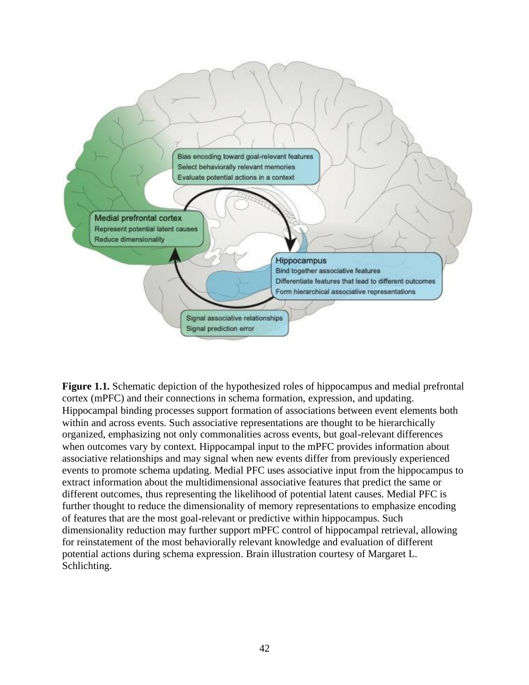

**Figure 1.1.** Schematic depiction of the hypothesized roles of hippocampus and medial prefrontal cortex (mPFC) and their connections in schema formation, expression, and updating. Hippocampal binding processes support formation of associations between event elements both within and across events. Such associative representations are thought to be hierarchically organized, emphasizing not only commonalities across events, but goal-relevant differences when outcomes vary by context. Hippocampal input to the mPFC provides information about associative relationships and may signal when new events differ from previously experienced events to promote schema updating. Medial PFC uses associative input from the hippocampus to extract information about the multidimensional associative features that predict the same or different outcomes, thus representing the likelihood of potential latent causes. Medial PFC is further thought to reduce the dimensionality of memory representations to emphasize encoding of features that are the most goal-relevant or predictive within hippocampus. Such dimensionality reduction may further support mPFC control of hippocampal retrieval, allowing for reinstatement of the most behaviorally relevant knowledge and evaluation of different potential actions during schema expression. Brain illustration courtesy of Margaret L. Schlichting.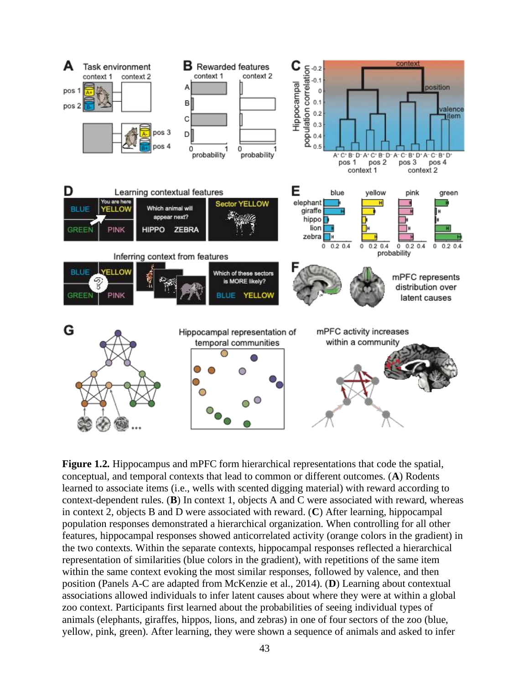

**Figure 1.2.** Hippocampus and mPFC form hierarchical representations that code the spatial, conceptual, and temporal contexts that lead to common or different outcomes. (**A**) Rodents learned to associate items (i.e., wells with scented digging material) with reward according to context-dependent rules. (**B**) In context 1, objects A and C were associated with reward, whereas in context 2, objects B and D were associated with reward. (**C**) After learning, hippocampal population responses demonstrated a hierarchical organization. When controlling for all other features, hippocampal responses showed anticorrelated activity (orange colors in the gradient) in the two contexts. Within the separate contexts, hippocampal responses reflected a hierarchical representation of similarities (blue colors in the gradient), with repetitions of the same item within the same context evoking the most similar responses, followed by valence, and then position (Panels A-C are adapted from McKenzie et al., 2014). (**D**) Learning about contextual associations allowed individuals to infer latent causes about where they were at within a global zoo context. Participants first learned about the probabilities of seeing individual types of animals (elephants, giraffes, hippos, lions, and zebras) in one of four sectors of the zoo (blue, yellow, pink, green). After learning, they were shown a sequence of animals and asked to infer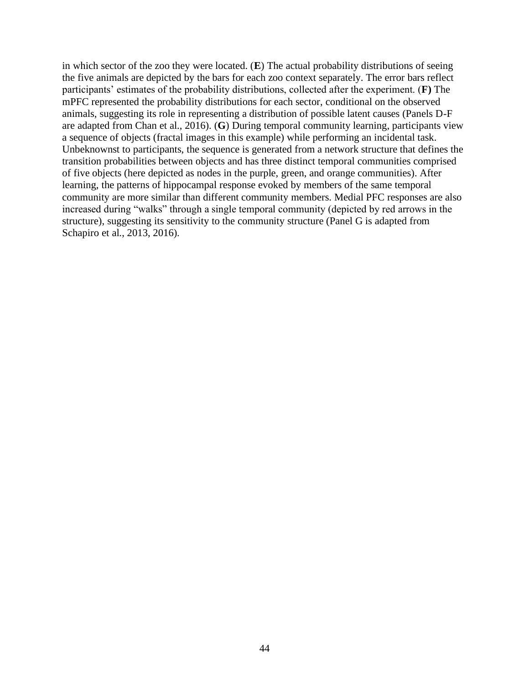in which sector of the zoo they were located. (**E**) The actual probability distributions of seeing the five animals are depicted by the bars for each zoo context separately. The error bars reflect participants' estimates of the probability distributions, collected after the experiment. (**F)** The mPFC represented the probability distributions for each sector, conditional on the observed animals, suggesting its role in representing a distribution of possible latent causes (Panels D-F are adapted from Chan et al., 2016). (**G**) During temporal community learning, participants view a sequence of objects (fractal images in this example) while performing an incidental task. Unbeknownst to participants, the sequence is generated from a network structure that defines the transition probabilities between objects and has three distinct temporal communities comprised of five objects (here depicted as nodes in the purple, green, and orange communities). After learning, the patterns of hippocampal response evoked by members of the same temporal community are more similar than different community members. Medial PFC responses are also increased during "walks" through a single temporal community (depicted by red arrows in the structure), suggesting its sensitivity to the community structure (Panel G is adapted from Schapiro et al., 2013, 2016).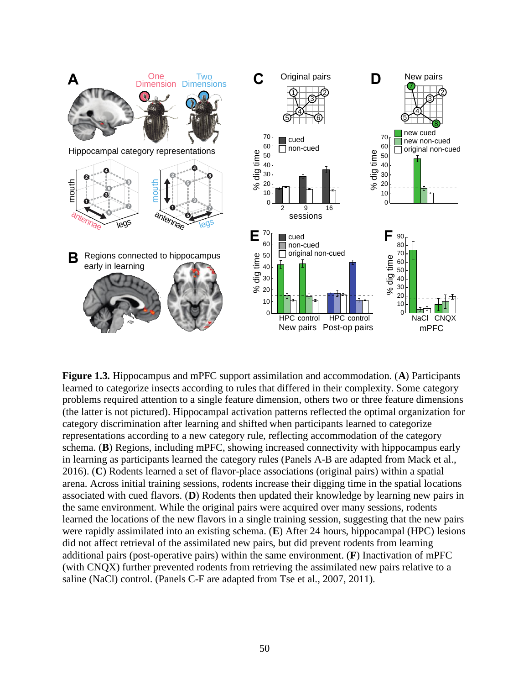

**Figure 1.3.** Hippocampus and mPFC support assimilation and accommodation. (**A**) Participants learned to categorize insects according to rules that differed in their complexity. Some category problems required attention to a single feature dimension, others two or three feature dimensions (the latter is not pictured). Hippocampal activation patterns reflected the optimal organization for category discrimination after learning and shifted when participants learned to categorize representations according to a new category rule, reflecting accommodation of the category schema. (**B**) Regions, including mPFC, showing increased connectivity with hippocampus early in learning as participants learned the category rules (Panels A-B are adapted from Mack et al., 2016). (**C**) Rodents learned a set of flavor-place associations (original pairs) within a spatial arena. Across initial training sessions, rodents increase their digging time in the spatial locations associated with cued flavors. (**D**) Rodents then updated their knowledge by learning new pairs in the same environment. While the original pairs were acquired over many sessions, rodents learned the locations of the new flavors in a single training session, suggesting that the new pairs were rapidly assimilated into an existing schema. (**E**) After 24 hours, hippocampal (HPC) lesions did not affect retrieval of the assimilated new pairs, but did prevent rodents from learning additional pairs (post-operative pairs) within the same environment. (**F**) Inactivation of mPFC (with CNQX) further prevented rodents from retrieving the assimilated new pairs relative to a saline (NaCl) control. (Panels C-F are adapted from Tse et al., 2007, 2011).